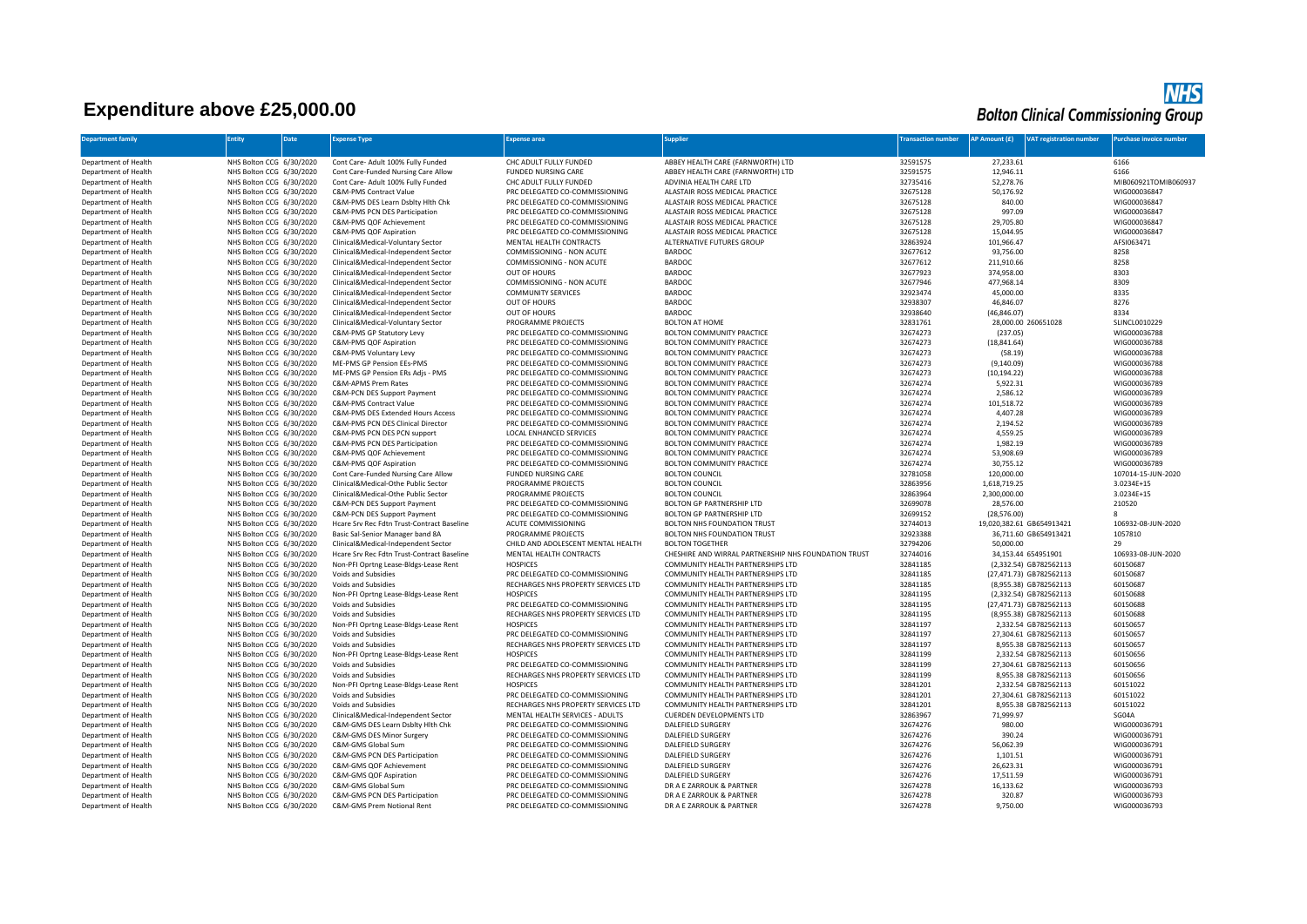## **Expenditure above £25,000.00**

|                           |               |                                | <b>NHS</b><br><b>Bolton Clinical Commissioning Group</b> |
|---------------------------|---------------|--------------------------------|----------------------------------------------------------|
| <b>Transaction number</b> | AP Amount (£) | <b>VAT registration number</b> | Purchase invoice number                                  |

| <b>Department family</b> | <b>Entity</b>                                        | Date | <b>Expense Type</b>                          | Expense area                        | <b>Supplier</b>                                      | <b>Transaction number</b> | AP Amount (£) | <b>/AT registration number</b> | Purchase invoice number      |
|--------------------------|------------------------------------------------------|------|----------------------------------------------|-------------------------------------|------------------------------------------------------|---------------------------|---------------|--------------------------------|------------------------------|
|                          |                                                      |      |                                              |                                     |                                                      |                           |               |                                |                              |
| Department of Health     | NHS Bolton CCG 6/30/2020                             |      | Cont Care- Adult 100% Fully Funded           | CHC ADULT FULLY FUNDED              | ABBEY HEALTH CARE (FARNWORTH) LTD                    | 32591575                  | 27,233.61     |                                | 6166                         |
| Department of Health     | NHS Bolton CCG 6/30/2020                             |      | Cont Care-Funded Nursing Care Allow          | <b>FUNDED NURSING CARE</b>          | ABBEY HEALTH CARE (FARNWORTH) LTD                    | 32591575                  | 12,946.11     |                                | 6166                         |
| Department of Health     | NHS Bolton CCG 6/30/2020                             |      | Cont Care- Adult 100% Fully Funded           | CHC ADULT FULLY FUNDED              | ADVINIA HEALTH CARE LTD                              | 32735416                  | 52,278.76     |                                | MIB060921TOMIB060937         |
| Department of Health     | NHS Bolton CCG 6/30/2020                             |      | C&M-PMS Contract Value                       | PRC DELEGATED CO-COMMISSIONING      | ALASTAIR ROSS MEDICAL PRACTICE                       | 32675128                  | 50,176.92     |                                | WIG000036847                 |
| Department of Health     | NHS Bolton CCG 6/30/2020                             |      | C&M-PMS DES Learn Dsblty Hith Chk            | PRC DELEGATED CO-COMMISSIONING      | ALASTAIR ROSS MEDICAL PRACTICE                       | 32675128                  | 840.00        |                                | WIG000036847                 |
| Department of Health     | NHS Bolton CCG 6/30/2020                             |      | C&M-PMS PCN DES Participation                | PRC DELEGATED CO-COMMISSIONING      | ALASTAIR ROSS MEDICAL PRACTICE                       | 32675128                  | 997.09        |                                | WIG000036847                 |
| Department of Health     | NHS Bolton CCG 6/30/2020                             |      | C&M-PMS QOF Achievement                      | PRC DELEGATED CO-COMMISSIONING      | ALASTAIR ROSS MEDICAL PRACTICE                       | 32675128                  | 29,705.80     |                                | WIG000036847                 |
| Department of Health     | NHS Bolton CCG 6/30/2020                             |      | C&M-PMS QOF Aspiration                       | PRC DELEGATED CO-COMMISSIONING      | ALASTAIR ROSS MEDICAL PRACTICE                       | 32675128                  | 15,044.95     |                                | WIG000036847                 |
| Department of Health     | NHS Bolton CCG 6/30/2020                             |      | Clinical&Medical-Voluntary Sector            | MENTAL HEALTH CONTRACTS             | ALTERNATIVE FUTURES GROUP                            | 32863924                  | 101,966.47    |                                | AFSI063471                   |
| Department of Health     | NHS Bolton CCG 6/30/2020                             |      | Clinical&Medical-Independent Sector          | COMMISSIONING - NON ACUTE           | <b>BARDOC</b>                                        | 32677612                  | 93,756.00     |                                | 8258                         |
| Department of Health     | NHS Bolton CCG 6/30/2020                             |      | Clinical&Medical-Independent Sector          | COMMISSIONING - NON ACUTE           | <b>BARDOC</b>                                        | 32677612                  | 211,910.66    |                                | 8258                         |
| Department of Health     | NHS Bolton CCG 6/30/2020                             |      | Clinical&Medical-Independent Sector          | OUT OF HOURS                        | <b>BARDOC</b>                                        | 32677923                  | 374,958.00    |                                | 8303                         |
| Department of Health     | NHS Bolton CCG 6/30/2020                             |      | Clinical&Medical-Independent Sector          | COMMISSIONING - NON ACUTE           | <b>BARDOC</b>                                        | 32677946                  | 477,968.14    |                                | 8309                         |
| Department of Health     | NHS Bolton CCG 6/30/2020                             |      | Clinical&Medical-Independent Sector          | <b>COMMUNITY SERVICES</b>           | <b>BARDOC</b>                                        | 32923474                  | 45,000.00     |                                | 8335                         |
| Department of Health     | NHS Bolton CCG 6/30/2020                             |      | Clinical&Medical-Independent Sector          | OUT OF HOURS                        | <b>BARDOC</b>                                        | 32938307                  | 46,846.07     |                                | 8276                         |
| Department of Health     | NHS Bolton CCG 6/30/2020                             |      |                                              | OUT OF HOURS                        | <b>BARDOC</b>                                        | 32938640                  | (46, 846.07)  |                                | 8334                         |
|                          |                                                      |      | Clinical&Medical-Independent Sector          |                                     |                                                      |                           |               |                                |                              |
| Department of Health     | NHS Bolton CCG 6/30/2020                             |      | Clinical&Medical-Voluntary Sector            | PROGRAMME PROJECTS                  | <b>BOLTON AT HOME</b>                                | 32831761                  |               | 28,000.00 260651028            | SLINCL0010229                |
| Department of Health     | NHS Bolton CCG 6/30/2020                             |      | C&M-PMS GP Statutory Levy                    | PRC DELEGATED CO-COMMISSIONING      | <b>BOLTON COMMUNITY PRACTICE</b>                     | 32674273                  | (237.05)      |                                | WIG000036788                 |
| Department of Health     | NHS Bolton CCG 6/30/2020                             |      | C&M-PMS QOF Aspiration                       | PRC DELEGATED CO-COMMISSIONING      | BOLTON COMMUNITY PRACTICE                            | 32674273                  | (18, 841.64)  |                                | WIG000036788                 |
| Department of Health     | NHS Bolton CCG 6/30/2020                             |      | C&M-PMS Voluntary Levy                       | PRC DELEGATED CO-COMMISSIONING      | <b>BOLTON COMMUNITY PRACTICE</b>                     | 32674273                  | (58.19)       |                                | WIG000036788                 |
| Department of Health     | NHS Bolton CCG 6/30/2020                             |      | ME-PMS GP Pension EEs-PMS                    | PRC DELEGATED CO-COMMISSIONING      | BOLTON COMMUNITY PRACTICE                            | 32674273                  | (9, 140.09)   |                                | WIG000036788                 |
| Department of Health     | NHS Bolton CCG 6/30/2020                             |      | ME-PMS GP Pension ERs Adjs - PMS             | PRC DELEGATED CO-COMMISSIONING      | BOLTON COMMUNITY PRACTICE                            | 32674273                  | (10, 194.22)  |                                | WIG000036788                 |
| Department of Health     | NHS Bolton CCG 6/30/2020                             |      | C&M-APMS Prem Rates                          | PRC DELEGATED CO-COMMISSIONING      | BOLTON COMMUNITY PRACTICE                            | 32674274                  | 5,922.31      |                                | WIG000036789                 |
| Department of Health     | NHS Bolton CCG 6/30/2020                             |      | C&M-PCN DES Support Payment                  | PRC DELEGATED CO-COMMISSIONING      | <b>BOLTON COMMUNITY PRACTICE</b>                     | 32674274                  | 2,586.12      |                                | WIG000036789                 |
| Department of Health     | NHS Bolton CCG 6/30/2020                             |      | <b>C&amp;M-PMS Contract Value</b>            | PRC DELEGATED CO-COMMISSIONING      | BOLTON COMMUNITY PRACTICE                            | 32674274                  | 101,518.72    |                                | WIG000036789                 |
| Department of Health     | NHS Bolton CCG 6/30/2020                             |      | C&M-PMS DES Extended Hours Access            | PRC DELEGATED CO-COMMISSIONING      | <b>BOLTON COMMUNITY PRACTICE</b>                     | 32674274                  | 4,407.28      |                                | WIG000036789                 |
| Department of Health     | NHS Bolton CCG 6/30/2020                             |      | C&M-PMS PCN DES Clinical Director            | PRC DELEGATED CO-COMMISSIONING      | BOLTON COMMUNITY PRACTICE                            | 32674274                  | 2,194.52      |                                | WIG000036789                 |
| Department of Health     | NHS Bolton CCG 6/30/2020                             |      | C&M-PMS PCN DES PCN support                  | LOCAL ENHANCED SERVICES             | <b>BOLTON COMMUNITY PRACTICE</b>                     | 32674274                  | 4,559.25      |                                | WIG000036789                 |
| Department of Health     | NHS Bolton CCG 6/30/2020                             |      | C&M-PMS PCN DES Participation                | PRC DELEGATED CO-COMMISSIONING      | <b>BOLTON COMMUNITY PRACTICE</b>                     | 32674274                  | 1,982.19      |                                | WIG000036789                 |
| Department of Health     | NHS Bolton CCG 6/30/2020                             |      | C&M-PMS QOF Achievement                      | PRC DELEGATED CO-COMMISSIONING      | BOLTON COMMUNITY PRACTICE                            | 32674274                  | 53,908.69     |                                | WIG000036789                 |
| Department of Health     | NHS Bolton CCG 6/30/2020                             |      | C&M-PMS QOF Aspiration                       | PRC DELEGATED CO-COMMISSIONING      | BOLTON COMMUNITY PRACTICE                            | 32674274                  | 30,755.12     |                                | WIG000036789                 |
| Department of Health     | NHS Bolton CCG 6/30/2020                             |      | Cont Care-Funded Nursing Care Allow          | <b>FUNDED NURSING CARE</b>          | <b>BOLTON COUNCIL</b>                                | 32781058                  | 120,000.00    |                                | 107014-15-JUN-2020           |
| Department of Health     | NHS Bolton CCG 6/30/2020                             |      | Clinical&Medical-Othe Public Sector          | PROGRAMME PROJECTS                  | <b>BOLTON COUNCIL</b>                                | 32863956                  | 1,618,719.25  |                                | 3.0234E+15                   |
| Department of Health     | NHS Bolton CCG 6/30/2020                             |      | Clinical&Medical-Othe Public Sector          | PROGRAMME PROJECTS                  | <b>BOLTON COUNCIL</b>                                | 32863964                  | 2,300,000.00  |                                | 3.0234E+15                   |
| Department of Health     | NHS Bolton CCG 6/30/2020                             |      | C&M-PCN DES Support Payment                  | PRC DELEGATED CO-COMMISSIONING      | <b>BOLTON GP PARTNERSHIP LTD</b>                     | 32699078                  | 28,576.00     |                                | 210520                       |
| Department of Health     | NHS Bolton CCG 6/30/2020                             |      | C&M-PCN DES Support Payment                  | PRC DELEGATED CO-COMMISSIONING      | BOLTON GP PARTNERSHIP LTD                            | 32699152                  | (28, 576.00)  |                                | 8                            |
| Department of Health     | NHS Bolton CCG 6/30/2020                             |      | Hcare Srv Rec Fdtn Trust-Contract Baseline   | ACUTE COMMISSIONING                 | <b>BOLTON NHS FOUNDATION TRUST</b>                   | 32744013                  |               | 19,020,382.61 GB654913421      | 106932-08-JUN-2020           |
| Department of Health     | NHS Bolton CCG 6/30/2020                             |      | Basic Sal-Senior Manager band 8A             | PROGRAMME PROJECTS                  | BOLTON NHS FOUNDATION TRUST                          | 32923388                  |               | 36,711.60 GB654913421          | 1057810                      |
| Department of Health     | NHS Bolton CCG 6/30/2020                             |      | Clinical&Medical-Independent Sector          | CHILD AND ADOLESCENT MENTAL HEALTH  | <b>BOLTON TOGETHER</b>                               | 32794206                  | 50,000.00     |                                | 29                           |
| Department of Health     | NHS Bolton CCG 6/30/2020                             |      | Hcare Srv Rec Fdtn Trust-Contract Baseline   | MENTAL HEALTH CONTRACTS             | CHESHIRE AND WIRRAL PARTNERSHIP NHS FOUNDATION TRUST | 32744016                  |               | 34,153.44 654951901            | 106933-08-JUN-2020           |
| Department of Health     | NHS Bolton CCG 6/30/2020                             |      | Non-PFI Oprtng Lease-Bldgs-Lease Rent        | <b>HOSPICES</b>                     | COMMUNITY HEALTH PARTNERSHIPS LTD                    | 32841185                  |               | (2,332.54) GB782562113         | 60150687                     |
| Department of Health     | NHS Bolton CCG 6/30/2020                             |      | Voids and Subsidies                          | PRC DELEGATED CO-COMMISSIONING      | COMMUNITY HEALTH PARTNERSHIPS LTD                    | 32841185                  |               | (27,471.73) GB782562113        | 60150687                     |
| Department of Health     | NHS Bolton CCG 6/30/2020                             |      | Voids and Subsidies                          | RECHARGES NHS PROPERTY SERVICES LTD | COMMUNITY HEALTH PARTNERSHIPS LTD                    | 32841185                  |               | (8,955.38) GB782562113         | 60150687                     |
| Department of Health     | NHS Bolton CCG 6/30/2020                             |      | Non-PFI Oprtng Lease-Bldgs-Lease Rent        | <b>HOSPICES</b>                     | COMMUNITY HEALTH PARTNERSHIPS LTD                    | 32841195                  |               | (2,332.54) GB782562113         | 60150688                     |
| Department of Health     | NHS Bolton CCG 6/30/2020                             |      | Voids and Subsidies                          | PRC DELEGATED CO-COMMISSIONING      | COMMUNITY HEALTH PARTNERSHIPS LTD                    | 32841195                  |               | (27,471.73) GB782562113        | 60150688                     |
| Department of Health     | NHS Bolton CCG 6/30/2020                             |      | Voids and Subsidies                          | RECHARGES NHS PROPERTY SERVICES LTD | COMMUNITY HEALTH PARTNERSHIPS LTD                    | 32841195                  |               | (8,955.38) GB782562113         | 60150688                     |
| Department of Health     | NHS Bolton CCG 6/30/2020                             |      | Non-PFI Oprtng Lease-Bldgs-Lease Rent        | <b>HOSPICES</b>                     | COMMUNITY HEALTH PARTNERSHIPS LTD                    | 32841197                  |               | 2,332.54 GB782562113           | 60150657                     |
| Department of Health     | NHS Bolton CCG 6/30/2020                             |      | Voids and Subsidies                          | PRC DELEGATED CO-COMMISSIONING      | COMMUNITY HEALTH PARTNERSHIPS LTD                    | 32841197                  |               | 27,304.61 GB782562113          | 60150657                     |
| Department of Health     | NHS Bolton CCG 6/30/2020                             |      | Voids and Subsidies                          | RECHARGES NHS PROPERTY SERVICES LTD | COMMUNITY HEALTH PARTNERSHIPS LTD                    | 32841197                  |               | 8,955.38 GB782562113           | 60150657                     |
| Department of Health     | NHS Bolton CCG 6/30/2020                             |      | Non-PFI Oprtng Lease-Bldgs-Lease Rent        | <b>HOSPICES</b>                     | COMMUNITY HEALTH PARTNERSHIPS LTD                    | 32841199                  |               | 2,332.54 GB782562113           | 60150656                     |
| Department of Health     | NHS Bolton CCG 6/30/2020                             |      | Voids and Subsidies                          | PRC DELEGATED CO-COMMISSIONING      | COMMUNITY HEALTH PARTNERSHIPS LTD                    | 32841199                  |               | 27,304.61 GB782562113          | 60150656                     |
| Department of Health     | NHS Bolton CCG 6/30/2020                             |      | Voids and Subsidies                          | RECHARGES NHS PROPERTY SERVICES LTD | COMMUNITY HEALTH PARTNERSHIPS LTD                    | 32841199                  |               | 8,955.38 GB782562113           | 60150656                     |
| Department of Health     | NHS Bolton CCG 6/30/2020                             |      | Non-PFI Oprtng Lease-Bldgs-Lease Rent        | <b>HOSPICES</b>                     | COMMUNITY HEALTH PARTNERSHIPS LTD                    | 32841201                  |               | 2,332.54 GB782562113           | 60151022                     |
| Department of Health     | NHS Bolton CCG 6/30/2020                             |      | Voids and Subsidies                          | PRC DELEGATED CO-COMMISSIONING      | COMMUNITY HEALTH PARTNERSHIPS LTD                    | 32841201                  |               | 27,304.61 GB782562113          | 60151022                     |
| Department of Health     | NHS Bolton CCG 6/30/2020                             |      | Voids and Subsidies                          | RECHARGES NHS PROPERTY SERVICES LTD | COMMUNITY HEALTH PARTNERSHIPS LTD                    | 32841201                  |               | 8,955.38 GB782562113           | 60151022                     |
| Department of Health     | NHS Bolton CCG 6/30/2020                             |      | Clinical&Medical-Independent Sector          | MENTAL HEALTH SERVICES - ADULTS     | <b>CUERDEN DEVELOPMENTS LTD</b>                      | 32863967                  | 71,999.97     |                                | SG04A                        |
| Department of Health     | NHS Bolton CCG 6/30/2020                             |      | C&M-GMS DES Learn Dsblty Hlth Chk            | PRC DELEGATED CO-COMMISSIONING      | <b>DALEFIELD SURGERY</b>                             | 32674276                  | 980.00        |                                | WIG000036791                 |
| Department of Health     | NHS Bolton CCG 6/30/2020                             |      | C&M-GMS DES Minor Surgery                    | PRC DELEGATED CO-COMMISSIONING      | <b>DALEFIELD SURGERY</b>                             | 32674276                  | 390.24        |                                | WIG000036791                 |
| Department of Health     | NHS Bolton CCG 6/30/2020                             |      | C&M-GMS Global Sum                           | PRC DELEGATED CO-COMMISSIONING      | <b>DALEFIELD SURGERY</b>                             | 32674276                  | 56,062.39     |                                | WIG000036791                 |
| Department of Health     | NHS Bolton CCG 6/30/2020                             |      | C&M-GMS PCN DES Participation                | PRC DELEGATED CO-COMMISSIONING      | DALEFIELD SURGERY                                    | 32674276                  | 1,101.51      |                                | WIG000036791                 |
| Department of Health     | NHS Bolton CCG 6/30/2020                             |      | C&M-GMS QOF Achievement                      | PRC DELEGATED CO-COMMISSIONING      | <b>DALEFIELD SURGERY</b>                             | 32674276                  | 26,623.31     |                                | WIG000036791                 |
| Department of Health     |                                                      |      |                                              | PRC DELEGATED CO-COMMISSIONING      |                                                      | 32674276                  | 17,511.59     |                                |                              |
| Department of Health     | NHS Bolton CCG 6/30/2020<br>NHS Bolton CCG 6/30/2020 |      | C&M-GMS QOF Aspiration<br>C&M-GMS Global Sum | PRC DELEGATED CO-COMMISSIONING      | DALEFIELD SURGERY<br>DR A E ZARROUK & PARTNER        | 32674278                  | 16,133.62     |                                | WIG000036791<br>WIG000036793 |
| Department of Health     | NHS Bolton CCG 6/30/2020                             |      | C&M-GMS PCN DES Participation                | PRC DELEGATED CO-COMMISSIONING      | DR A E ZARROUK & PARTNER                             | 32674278                  | 320.87        |                                | WIG000036793                 |
|                          | NHS Bolton CCG 6/30/2020                             |      |                                              |                                     |                                                      | 32674278                  | 9,750.00      |                                | WIG000036793                 |
| Department of Health     |                                                      |      | C&M-GMS Prem Notional Rent                   | PRC DELEGATED CO-COMMISSIONING      | DR A E ZARROUK & PARTNER                             |                           |               |                                |                              |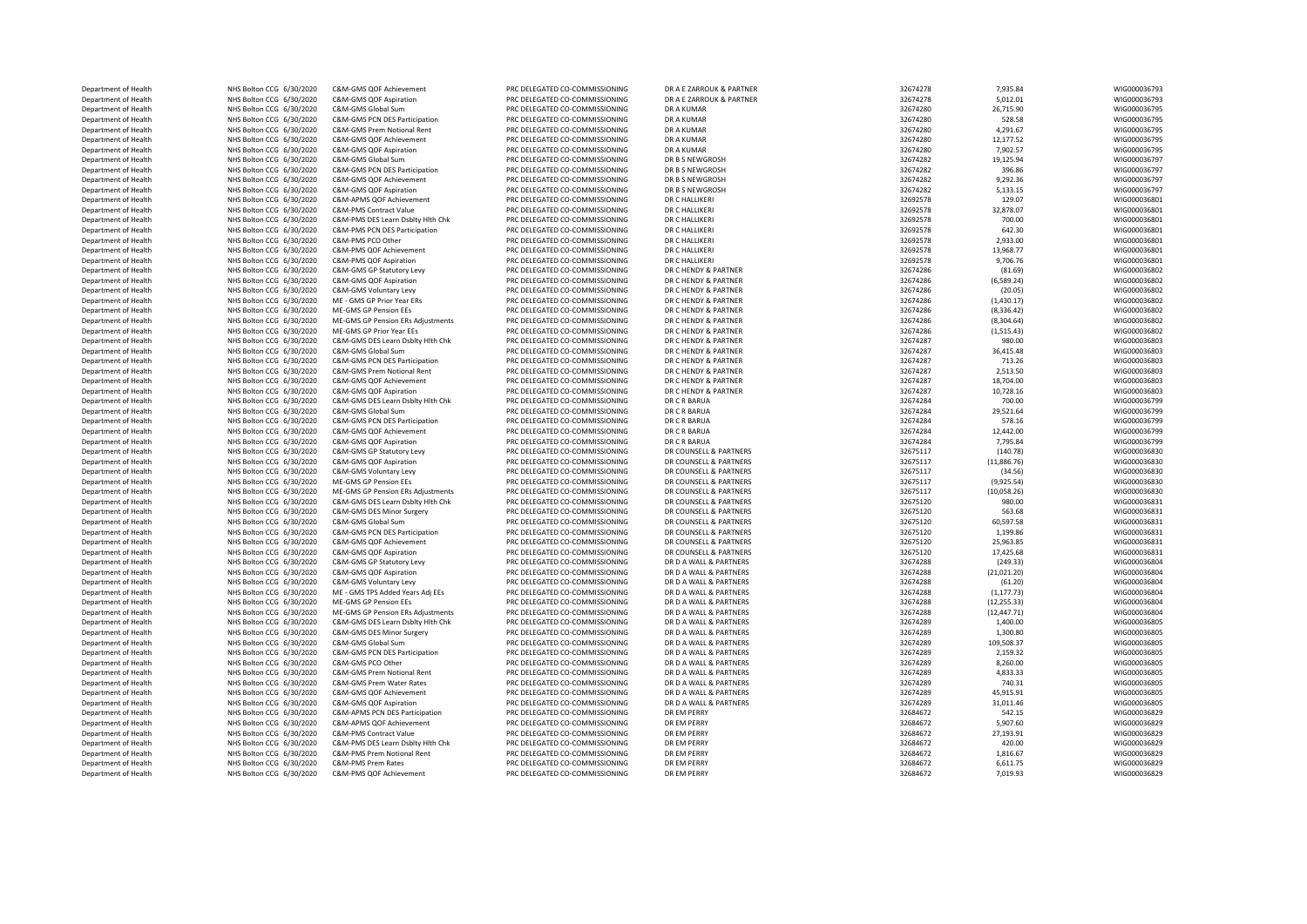| Department of Health                         | NHS Bolton CCG 6/30/2020                             | C&M-GMS QOF Achievement                           | PRC DELEGATED CO-COMMISSIONING                                   | DR A E ZARROUK & PARTNER                         | 32674278             | 7,935.84               | WIG000036793                 |
|----------------------------------------------|------------------------------------------------------|---------------------------------------------------|------------------------------------------------------------------|--------------------------------------------------|----------------------|------------------------|------------------------------|
| Department of Health                         | NHS Bolton CCG 6/30/2020                             | C&M-GMS QOF Aspiration                            | PRC DELEGATED CO-COMMISSIONING                                   | DR A E ZARROUK & PARTNER                         | 32674278             | 5,012.01               | WIG000036793                 |
| Department of Health                         | NHS Bolton CCG 6/30/2020                             | C&M-GMS Global Sum                                | PRC DELEGATED CO-COMMISSIONING                                   | <b>DR A KUMAR</b>                                | 32674280             | 26,715.90              | WIG000036795                 |
| Department of Health                         | NHS Bolton CCG 6/30/2020                             | C&M-GMS PCN DES Participation                     | PRC DELEGATED CO-COMMISSIONING                                   | DR A KUMAR                                       | 32674280             | 528.58                 | WIG000036795                 |
| Department of Health                         | NHS Bolton CCG 6/30/2020                             | C&M-GMS Prem Notional Rent                        | PRC DELEGATED CO-COMMISSIONING                                   | DR A KUMAR                                       | 32674280             | 4,291.67               | WIG000036795                 |
| Department of Health                         | NHS Bolton CCG 6/30/2020                             | C&M-GMS QOF Achievement                           | PRC DELEGATED CO-COMMISSIONING                                   | DR A KUMAR                                       | 32674280             | 12,177.52              | WIG000036795                 |
| Department of Health                         | NHS Bolton CCG 6/30/2020                             | C&M-GMS QOF Aspiration                            | PRC DELEGATED CO-COMMISSIONING                                   | DR A KUMAR                                       | 32674280             | 7,902.57               | WIG000036795                 |
| Department of Health                         | NHS Bolton CCG 6/30/2020                             | C&M-GMS Global Sum                                | PRC DELEGATED CO-COMMISSIONING                                   | DR B S NEWGROSH                                  | 32674282             | 19,125.94              | WIG000036797                 |
| Department of Health                         | NHS Bolton CCG 6/30/2020                             | C&M-GMS PCN DES Participation                     | PRC DELEGATED CO-COMMISSIONING                                   | DR B S NEWGROSH                                  | 32674282             | 396.86                 | WIG000036797                 |
| Department of Health                         | NHS Bolton CCG 6/30/2020                             | C&M-GMS QOF Achievement                           | PRC DELEGATED CO-COMMISSIONING                                   | DR B S NEWGROSH                                  | 32674282             | 9,292.36               | WIG000036797                 |
| Department of Health                         | NHS Bolton CCG 6/30/2020                             | C&M-GMS QOF Aspiration                            | PRC DELEGATED CO-COMMISSIONING                                   | DR B S NEWGROSH                                  | 32674282             | 5,133.15               | WIG000036797                 |
| Department of Health                         | NHS Bolton CCG 6/30/2020                             | C&M-APMS QOF Achievement                          | PRC DELEGATED CO-COMMISSIONING                                   | DR C HALLIKERI                                   | 32692578             | 129.07                 | WIG000036801                 |
| Department of Health                         | NHS Bolton CCG 6/30/2020                             | C&M-PMS Contract Value                            | PRC DELEGATED CO-COMMISSIONING                                   | DR C HALLIKERI                                   | 32692578             | 32,878.07              | WIG000036801                 |
| Department of Health                         | NHS Bolton CCG 6/30/2020                             | C&M-PMS DES Learn Dsblty Hith Chk                 | PRC DELEGATED CO-COMMISSIONING                                   | DR C HALLIKERI                                   | 32692578             | 700.00                 | WIG000036801                 |
| Department of Health                         | NHS Bolton CCG 6/30/2020                             | C&M-PMS PCN DES Participation                     | PRC DELEGATED CO-COMMISSIONING                                   | DR C HALLIKERI                                   | 32692578             | 642.30                 | WIG000036801                 |
| Department of Health                         | NHS Bolton CCG 6/30/2020                             | C&M-PMS PCO Other                                 | PRC DELEGATED CO-COMMISSIONING                                   | DR C HALLIKERI                                   | 32692578             | 2,933.00               | WIG000036801                 |
| Department of Health                         | NHS Bolton CCG 6/30/2020                             | C&M-PMS QOF Achievement                           | PRC DELEGATED CO-COMMISSIONING                                   | DR C HALLIKERI                                   | 32692578             | 13,968.77              | WIG000036801                 |
| Department of Health                         | NHS Bolton CCG 6/30/2020                             | C&M-PMS QOF Aspiration                            | PRC DELEGATED CO-COMMISSIONING                                   | DR C HALLIKERI                                   | 32692578             | 9,706.76               | WIG000036801                 |
| Department of Health                         | NHS Bolton CCG 6/30/2020                             | C&M-GMS GP Statutory Levy                         | PRC DELEGATED CO-COMMISSIONING                                   | DR C HENDY & PARTNER                             | 32674286             | (81.69)                | WIG000036802                 |
| Department of Health                         | NHS Bolton CCG 6/30/2020                             | C&M-GMS QOF Aspiration                            | PRC DELEGATED CO-COMMISSIONING                                   | DR C HENDY & PARTNER                             | 32674286             | (6,589.24)             | WIG000036802                 |
| Department of Health                         | NHS Bolton CCG 6/30/2020                             | C&M-GMS Voluntary Levy                            | PRC DELEGATED CO-COMMISSIONING                                   | DR C HENDY & PARTNER                             | 32674286             | (20.05)                | WIG000036802                 |
| Department of Health                         | NHS Bolton CCG 6/30/2020                             | ME - GMS GP Prior Year ERs                        | PRC DELEGATED CO-COMMISSIONING                                   | DR C HENDY & PARTNER                             | 32674286             | (1,430.17)             | WIG000036802                 |
| Department of Health                         | NHS Bolton CCG 6/30/2020                             | ME-GMS GP Pension EEs                             | PRC DELEGATED CO-COMMISSIONING                                   | DR C HENDY & PARTNER                             | 32674286             | (8,336.42)             | WIG000036802                 |
| Department of Health                         | NHS Bolton CCG 6/30/2020                             | ME-GMS GP Pension ERs Adjustments                 | PRC DELEGATED CO-COMMISSIONING                                   | DR C HENDY & PARTNER                             | 32674286             | (8,304.64)             | WIG000036802                 |
| Department of Health                         | NHS Bolton CCG 6/30/2020                             | ME-GMS GP Prior Year EEs                          | PRC DELEGATED CO-COMMISSIONING                                   | DR C HENDY & PARTNER                             | 32674286             | (1,515.43)             | WIG000036802                 |
| Department of Health                         | NHS Bolton CCG 6/30/2020                             | C&M-GMS DES Learn Dsbltv Hlth Chk                 | PRC DELEGATED CO-COMMISSIONING                                   | DR C HENDY & PARTNER                             | 32674287             | 980.00                 | WIG000036803                 |
| Department of Health                         | NHS Bolton CCG 6/30/2020                             | C&M-GMS Global Sum                                | PRC DELEGATED CO-COMMISSIONING                                   | DR C HENDY & PARTNER                             | 32674287             | 36,415.48              | WIG000036803                 |
| Department of Health                         | NHS Bolton CCG 6/30/2020                             | C&M-GMS PCN DES Participation                     | PRC DELEGATED CO-COMMISSIONING                                   | DR C HENDY & PARTNER                             | 32674287             | 713.26                 | WIG000036803                 |
| Department of Health                         | NHS Bolton CCG 6/30/2020                             | C&M-GMS Prem Notional Rent                        | PRC DELEGATED CO-COMMISSIONING                                   | DR C HENDY & PARTNER                             | 32674287             | 2,513.50               | WIG000036803                 |
| Department of Health                         | NHS Bolton CCG 6/30/2020                             | C&M-GMS QOF Achievement                           | PRC DELEGATED CO-COMMISSIONING                                   | DR C HENDY & PARTNER                             | 32674287             | 18,704.00              | WIG000036803                 |
| Department of Health                         | NHS Bolton CCG 6/30/2020                             | C&M-GMS QOF Aspiration                            | PRC DELEGATED CO-COMMISSIONING                                   | DR C HENDY & PARTNER                             | 32674287             | 10,728.16              | WIG000036803                 |
| Department of Health                         | NHS Bolton CCG 6/30/2020                             | C&M-GMS DES Learn Dsblty Hlth Chk                 | PRC DELEGATED CO-COMMISSIONING                                   | DR C R BARUA                                     | 32674284             | 700.00                 | WIG000036799                 |
| Department of Health                         | NHS Bolton CCG 6/30/2020                             | C&M-GMS Global Sum                                | PRC DELEGATED CO-COMMISSIONING                                   | DR C R BARUA                                     | 32674284             | 29,521.64              | WIG000036799                 |
| Department of Health                         | NHS Bolton CCG 6/30/2020                             | C&M-GMS PCN DES Participation                     | PRC DELEGATED CO-COMMISSIONING                                   | DR C R BARUA                                     | 32674284             | 578.16                 | WIG000036799                 |
| Department of Health                         | NHS Bolton CCG 6/30/2020                             | C&M-GMS QOF Achievement                           | PRC DELEGATED CO-COMMISSIONING                                   | DR C R BARUA                                     | 32674284             | 12,442.00              | WIG000036799                 |
| Department of Health                         | NHS Bolton CCG 6/30/2020                             | C&M-GMS QOF Aspiration                            | PRC DELEGATED CO-COMMISSIONING                                   | DR C R BARUA                                     | 32674284             | 7,795.84               | WIG000036799                 |
| Department of Health                         | NHS Bolton CCG 6/30/2020                             | C&M-GMS GP Statutory Levy                         | PRC DELEGATED CO-COMMISSIONING                                   | DR COUNSELL & PARTNERS                           | 32675117             | (140.78)               | WIG000036830                 |
| Department of Health                         | NHS Bolton CCG 6/30/2020                             | C&M-GMS QOF Aspiration                            | PRC DELEGATED CO-COMMISSIONING                                   | DR COUNSELL & PARTNERS                           | 32675117             | (11,886.76)            | WIG000036830                 |
| Department of Health                         | NHS Bolton CCG 6/30/2020                             | C&M-GMS Voluntary Levy                            | PRC DELEGATED CO-COMMISSIONING                                   | DR COUNSELL & PARTNERS                           | 32675117             | (34.56)                | WIG000036830                 |
| Department of Health<br>Department of Health | NHS Bolton CCG 6/30/2020                             | ME-GMS GP Pension EEs                             | PRC DELEGATED CO-COMMISSIONING<br>PRC DELEGATED CO-COMMISSIONING | DR COUNSELL & PARTNERS<br>DR COUNSELL & PARTNERS | 32675117<br>32675117 | (9,925.54)             | WIG000036830<br>WIG000036830 |
|                                              | NHS Bolton CCG 6/30/2020                             | ME-GMS GP Pension ERs Adjustments                 |                                                                  |                                                  |                      | (10,058.26)            |                              |
| Department of Health                         | NHS Bolton CCG 6/30/2020                             | C&M-GMS DES Learn Dsblty Hlth Chk                 | PRC DELEGATED CO-COMMISSIONING<br>PRC DELEGATED CO-COMMISSIONING | DR COUNSELL & PARTNERS                           | 32675120             | 980.00                 | WIG000036831                 |
| Department of Health<br>Department of Health | NHS Bolton CCG 6/30/2020<br>NHS Bolton CCG 6/30/2020 | C&M-GMS DES Minor Surgery<br>C&M-GMS Global Sum   | PRC DELEGATED CO-COMMISSIONING                                   | DR COUNSELL & PARTNERS<br>DR COUNSELL & PARTNERS | 32675120<br>32675120 | 563.68<br>60,597.58    | WIG000036831<br>WIG000036831 |
|                                              |                                                      |                                                   |                                                                  |                                                  |                      |                        |                              |
| Department of Health                         | NHS Bolton CCG 6/30/2020                             | C&M-GMS PCN DES Participation                     | PRC DELEGATED CO-COMMISSIONING                                   | DR COUNSELL & PARTNERS                           | 32675120             | 1,199.86               | WIG000036831                 |
| Department of Health<br>Department of Health | NHS Bolton CCG 6/30/2020<br>NHS Bolton CCG 6/30/2020 | C&M-GMS QOF Achievement<br>C&M-GMS QOF Aspiration | PRC DELEGATED CO-COMMISSIONING<br>PRC DELEGATED CO-COMMISSIONING | DR COUNSELL & PARTNERS<br>DR COUNSELL & PARTNERS | 32675120<br>32675120 | 25,963.85<br>17,425.68 | WIG000036831<br>WIG000036831 |
| Department of Health                         | NHS Bolton CCG 6/30/2020                             | C&M-GMS GP Statutory Levy                         | PRC DELEGATED CO-COMMISSIONING                                   | DR D A WALL & PARTNERS                           | 32674288             | (249.33)               | WIG000036804                 |
| Department of Health                         | NHS Bolton CCG 6/30/2020                             | C&M-GMS QOF Aspiration                            | PRC DELEGATED CO-COMMISSIONING                                   | DR D A WALL & PARTNERS                           | 32674288             | (21,021.20)            | WIG000036804                 |
| Department of Health                         | NHS Bolton CCG 6/30/2020                             | C&M-GMS Voluntary Levy                            | PRC DELEGATED CO-COMMISSIONING                                   | DR D A WALL & PARTNERS                           | 32674288             | (61.20)                | WIG000036804                 |
| Department of Health                         | NHS Bolton CCG 6/30/2020                             | ME - GMS TPS Added Years Adj EEs                  | PRC DELEGATED CO-COMMISSIONING                                   | DR D A WALL & PARTNERS                           | 32674288             | (1, 177.73)            | WIG000036804                 |
| Department of Health                         | NHS Bolton CCG 6/30/2020                             | ME-GMS GP Pension EEs                             | PRC DELEGATED CO-COMMISSIONING                                   | DR D A WALL & PARTNERS                           | 32674288             | (12, 255.33)           | WIG000036804                 |
| Department of Health                         | NHS Bolton CCG 6/30/2020                             | ME-GMS GP Pension ERs Adjustments                 | PRC DELEGATED CO-COMMISSIONING                                   | DR D A WALL & PARTNERS                           | 32674288             | (12, 447.71)           | WIG000036804                 |
| Department of Health                         | NHS Bolton CCG 6/30/2020                             | C&M-GMS DES Learn Dsblty Hlth Chk                 | PRC DELEGATED CO-COMMISSIONING                                   | DR D A WALL & PARTNERS                           | 32674289             | 1,400.00               | WIG000036805                 |
| Department of Health                         | NHS Bolton CCG 6/30/2020                             | C&M-GMS DES Minor Surgery                         | PRC DELEGATED CO-COMMISSIONING                                   | DR D A WALL & PARTNERS                           | 32674289             | 1,300.80               | WIG000036805                 |
| Department of Health                         | NHS Bolton CCG 6/30/2020                             | C&M-GMS Global Sum                                | PRC DELEGATED CO-COMMISSIONING                                   | DR D A WALL & PARTNERS                           | 32674289             | 109,508.37             | WIG000036805                 |
| Department of Health                         | NHS Bolton CCG 6/30/2020                             | C&M-GMS PCN DES Participation                     | PRC DELEGATED CO-COMMISSIONING                                   | DR D A WALL & PARTNERS                           | 32674289             | 2,159.32               | WIG000036805                 |
| Department of Health                         | NHS Bolton CCG 6/30/2020                             | C&M-GMS PCO Other                                 | PRC DELEGATED CO-COMMISSIONING                                   | DR D A WALL & PARTNERS                           | 32674289             | 8.260.00               | WIG000036805                 |
| Department of Health                         | NHS Bolton CCG 6/30/2020                             | C&M-GMS Prem Notional Rent                        | PRC DELEGATED CO-COMMISSIONING                                   | DR D A WALL & PARTNERS                           | 32674289             | 4,833.33               | WIG000036805                 |
| Department of Health                         | NHS Bolton CCG 6/30/2020                             | C&M-GMS Prem Water Rates                          | PRC DELEGATED CO-COMMISSIONING                                   | DR D A WALL & PARTNERS                           | 32674289             | 740.31                 | WIG000036805                 |
| Department of Health                         | NHS Bolton CCG 6/30/2020                             | C&M-GMS QOF Achievement                           | PRC DELEGATED CO-COMMISSIONING                                   | DR D A WALL & PARTNERS                           | 32674289             | 45,915.91              | WIG000036805                 |
| Department of Health                         | NHS Bolton CCG 6/30/2020                             | C&M-GMS QOF Aspiration                            | PRC DELEGATED CO-COMMISSIONING                                   | DR D A WALL & PARTNERS                           | 32674289             | 31,011.46              | WIG000036805                 |
| Department of Health                         | NHS Bolton CCG 6/30/2020                             | C&M-APMS PCN DES Participation                    | PRC DELEGATED CO-COMMISSIONING                                   | DR EM PERRY                                      | 32684672             | 542.15                 | WIG000036829                 |
| Department of Health                         | NHS Bolton CCG 6/30/2020                             | C&M-APMS QOF Achievement                          | PRC DELEGATED CO-COMMISSIONING                                   | DR EM PERRY                                      | 32684672             | 5,907.60               | WIG000036829                 |
| Department of Health                         | NHS Bolton CCG 6/30/2020                             | C&M-PMS Contract Value                            | PRC DELEGATED CO-COMMISSIONING                                   | DR EM PERRY                                      | 32684672             | 27,193.91              | WIG000036829                 |
| Department of Health                         | NHS Bolton CCG 6/30/2020                             | C&M-PMS DES Learn Dsblty Hlth Chk                 | PRC DELEGATED CO-COMMISSIONING                                   | DR EM PERRY                                      | 32684672             | 420.00                 | WIG000036829                 |
| Department of Health                         | NHS Bolton CCG 6/30/2020                             | C&M-PMS Prem Notional Rent                        | PRC DELEGATED CO-COMMISSIONING                                   | DR EM PERRY                                      | 32684672             | 1,816.67               | WIG000036829                 |
| Department of Health                         | NHS Bolton CCG 6/30/2020                             | C&M-PMS Prem Rates                                | PRC DELEGATED CO-COMMISSIONING                                   | DR EM PERRY                                      | 32684672             | 6,611.75               | WIG000036829                 |
| Department of Health                         | NHS Bolton CCG 6/30/2020                             | C&M-PMS QOF Achievement                           | PRC DELEGATED CO-COMMISSIONING                                   | DR EM PERRY                                      | 32684672             | 7,019.93               | WIG000036829                 |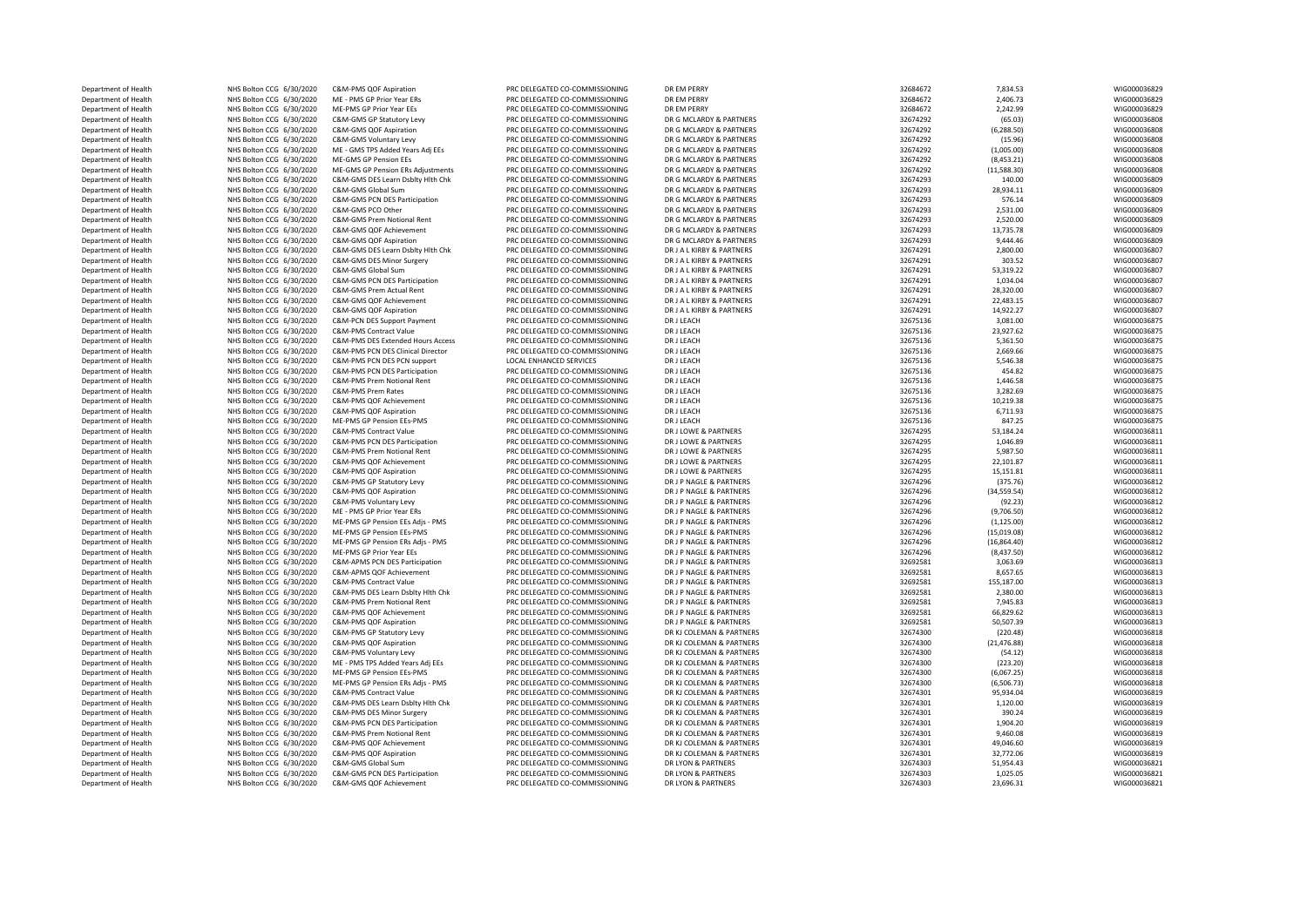| Department of Health | NHS Bolton CCG 6/30/2020 | C&M-PMS QOF Aspiration            | PRC DELEGATED CO-COMMISSIONING | DR EM PERRY               | 32684672 | 7,834.53     | WIG000036829 |
|----------------------|--------------------------|-----------------------------------|--------------------------------|---------------------------|----------|--------------|--------------|
| Department of Health | NHS Bolton CCG 6/30/2020 | ME - PMS GP Prior Year ERs        | PRC DELEGATED CO-COMMISSIONING | DR EM PERRY               | 32684672 | 2,406.73     | WIG000036829 |
| Department of Health | NHS Bolton CCG 6/30/2020 | ME-PMS GP Prior Year EEs          | PRC DELEGATED CO-COMMISSIONING | DR EM PERRY               | 32684672 | 2,242.99     | WIG000036829 |
| Department of Health | NHS Bolton CCG 6/30/2020 | C&M-GMS GP Statutory Levy         | PRC DELEGATED CO-COMMISSIONING | DR G MCLARDY & PARTNERS   | 32674292 | (65.03)      | WIG000036808 |
| Department of Health | NHS Bolton CCG 6/30/2020 | C&M-GMS QOF Aspiration            | PRC DELEGATED CO-COMMISSIONING | DR G MCLARDY & PARTNERS   | 32674292 | (6, 288.50)  | WIG000036808 |
| Department of Health | NHS Bolton CCG 6/30/2020 | C&M-GMS Voluntary Levy            | PRC DELEGATED CO-COMMISSIONING | DR G MCLARDY & PARTNERS   | 32674292 | (15.96)      | WIG000036808 |
| Department of Health | NHS Bolton CCG 6/30/2020 | ME - GMS TPS Added Years Adj EEs  | PRC DELEGATED CO-COMMISSIONING | DR G MCLARDY & PARTNERS   | 32674292 | (1,005.00)   | WIG000036808 |
| Department of Health | NHS Bolton CCG 6/30/2020 | ME-GMS GP Pension EEs             | PRC DELEGATED CO-COMMISSIONING | DR G MCLARDY & PARTNERS   | 32674292 | (8,453.21)   | WIG000036808 |
| Department of Health | NHS Bolton CCG 6/30/2020 | ME-GMS GP Pension ERs Adjustments | PRC DELEGATED CO-COMMISSIONING | DR G MCLARDY & PARTNERS   | 32674292 | (11,588.30)  | WIG000036808 |
| Department of Health | NHS Bolton CCG 6/30/2020 | C&M-GMS DES Learn Dsbltv Hlth Chk | PRC DELEGATED CO-COMMISSIONING | DR G MCLARDY & PARTNERS   | 32674293 | 140.00       | WIG000036809 |
| Department of Health | NHS Bolton CCG 6/30/2020 | C&M-GMS Global Sum                | PRC DELEGATED CO-COMMISSIONING | DR G MCLARDY & PARTNERS   | 32674293 | 28,934.11    | WIG000036809 |
| Department of Health | NHS Bolton CCG 6/30/2020 | C&M-GMS PCN DES Participation     | PRC DELEGATED CO-COMMISSIONING | DR G MCLARDY & PARTNERS   | 32674293 | 576.14       | WIG000036809 |
| Department of Health | NHS Bolton CCG 6/30/2020 | C&M-GMS PCO Other                 | PRC DELEGATED CO-COMMISSIONING | DR G MCLARDY & PARTNERS   | 32674293 | 2,531.00     | WIG000036809 |
|                      |                          | C&M-GMS Prem Notional Rent        | PRC DELEGATED CO-COMMISSIONING | DR G MCLARDY & PARTNERS   | 32674293 | 2,520.00     | WIG000036809 |
| Department of Health | NHS Bolton CCG 6/30/2020 |                                   |                                |                           |          |              |              |
| Department of Health | NHS Bolton CCG 6/30/2020 | C&M-GMS QOF Achievement           | PRC DELEGATED CO-COMMISSIONING | DR G MCLARDY & PARTNERS   | 32674293 | 13,735.78    | WIG000036809 |
| Department of Health | NHS Bolton CCG 6/30/2020 | C&M-GMS QOF Aspiration            | PRC DELEGATED CO-COMMISSIONING | DR G MCLARDY & PARTNERS   | 32674293 | 9,444.46     | WIG000036809 |
| Department of Health | NHS Bolton CCG 6/30/2020 | C&M-GMS DES Learn Dsbltv Hlth Chk | PRC DELEGATED CO-COMMISSIONING | DR J A L KIRBY & PARTNERS | 32674291 | 2,800.00     | WIG000036807 |
| Department of Health | NHS Bolton CCG 6/30/2020 | C&M-GMS DES Minor Surgery         | PRC DELEGATED CO-COMMISSIONING | DR J A L KIRBY & PARTNERS | 32674291 | 303.52       | WIG000036807 |
| Department of Health | NHS Bolton CCG 6/30/2020 | C&M-GMS Global Sum                | PRC DELEGATED CO-COMMISSIONING | DR J A L KIRBY & PARTNERS | 32674291 | 53,319.22    | WIG000036807 |
| Department of Health | NHS Bolton CCG 6/30/2020 | C&M-GMS PCN DES Participation     | PRC DELEGATED CO-COMMISSIONING | DR J A L KIRBY & PARTNERS | 32674291 | 1,034.04     | WIG000036807 |
| Department of Health | NHS Bolton CCG 6/30/2020 | C&M-GMS Prem Actual Rent          | PRC DELEGATED CO-COMMISSIONING | DR J A L KIRBY & PARTNERS | 32674291 | 28,320.00    | WIG000036807 |
| Department of Health | NHS Bolton CCG 6/30/2020 | C&M-GMS QOF Achievement           | PRC DELEGATED CO-COMMISSIONING | DR J A L KIRBY & PARTNERS | 32674291 | 22,483.15    | WIG000036807 |
| Department of Health | NHS Bolton CCG 6/30/2020 | C&M-GMS QOF Aspiration            | PRC DELEGATED CO-COMMISSIONING | DR J A L KIRBY & PARTNERS | 32674291 | 14,922.27    | WIG000036807 |
| Department of Health | NHS Bolton CCG 6/30/2020 | C&M-PCN DES Support Payment       | PRC DELEGATED CO-COMMISSIONING | DR J LEACH                | 32675136 | 3,081.00     | WIG000036875 |
| Department of Health | NHS Bolton CCG 6/30/2020 | <b>C&amp;M-PMS Contract Value</b> | PRC DELEGATED CO-COMMISSIONING | DR J LEACH                | 32675136 | 23,927.62    | WIG000036875 |
| Department of Health | NHS Bolton CCG 6/30/2020 | C&M-PMS DES Extended Hours Access | PRC DELEGATED CO-COMMISSIONING | DR J LEACH                | 32675136 | 5,361.50     | WIG000036875 |
| Department of Health | NHS Bolton CCG 6/30/2020 | C&M-PMS PCN DES Clinical Director | PRC DELEGATED CO-COMMISSIONING | DR J LEACH                | 32675136 | 2,669.66     | WIG000036875 |
| Department of Health | NHS Bolton CCG 6/30/2020 | C&M-PMS PCN DES PCN support       | <b>LOCAL ENHANCED SERVICES</b> | DR J LEACH                | 32675136 | 5,546.38     | WIG000036875 |
| Department of Health | NHS Bolton CCG 6/30/2020 | C&M-PMS PCN DES Participation     | PRC DELEGATED CO-COMMISSIONING | DR J LEACH                | 32675136 | 454.82       | WIG000036875 |
| Department of Health | NHS Bolton CCG 6/30/2020 | C&M-PMS Prem Notional Rent        | PRC DELEGATED CO-COMMISSIONING | DR J LEACH                | 32675136 | 1,446.58     | WIG000036875 |
| Department of Health | NHS Bolton CCG 6/30/2020 | C&M-PMS Prem Rates                | PRC DELEGATED CO-COMMISSIONING | DR J LEACH                | 32675136 | 3,282.69     | WIG000036875 |
| Department of Health | NHS Bolton CCG 6/30/2020 | C&M-PMS QOF Achievement           | PRC DELEGATED CO-COMMISSIONING | DR J LEACH                | 32675136 | 10,219.38    | WIG000036875 |
| Department of Health | NHS Bolton CCG 6/30/2020 | C&M-PMS QOF Aspiration            | PRC DELEGATED CO-COMMISSIONING | DR J LEACH                | 32675136 | 6,711.93     | WIG000036875 |
| Department of Health | NHS Bolton CCG 6/30/2020 | ME-PMS GP Pension EEs-PMS         | PRC DELEGATED CO-COMMISSIONING | DR I I FACH               | 32675136 | 847.25       | WIG000036875 |
| Department of Health | NHS Bolton CCG 6/30/2020 | <b>C&amp;M-PMS Contract Value</b> | PRC DELEGATED CO-COMMISSIONING | DR J LOWE & PARTNERS      | 32674295 | 53,184.24    | WIG000036811 |
| Department of Health | NHS Bolton CCG 6/30/2020 | C&M-PMS PCN DES Participation     | PRC DELEGATED CO-COMMISSIONING | DR J LOWE & PARTNERS      | 32674295 | 1,046.89     | WIG000036811 |
| Department of Health | NHS Bolton CCG 6/30/2020 | C&M-PMS Prem Notional Rent        | PRC DELEGATED CO-COMMISSIONING | DR J LOWE & PARTNERS      | 32674295 | 5,987.50     | WIG000036811 |
| Department of Health | NHS Bolton CCG 6/30/2020 | C&M-PMS QOF Achievement           | PRC DELEGATED CO-COMMISSIONING | DR J LOWE & PARTNERS      | 32674295 | 22,101.87    | WIG000036811 |
| Department of Health | NHS Bolton CCG 6/30/2020 | C&M-PMS QOF Aspiration            | PRC DELEGATED CO-COMMISSIONING | DR J LOWE & PARTNERS      | 32674295 | 15,151.81    | WIG000036811 |
|                      |                          |                                   |                                |                           |          |              |              |
| Department of Health | NHS Bolton CCG 6/30/2020 | C&M-PMS GP Statutory Levy         | PRC DELEGATED CO-COMMISSIONING | DR J P NAGLE & PARTNERS   | 32674296 | (375.76)     | WIG000036812 |
| Department of Health | NHS Bolton CCG 6/30/2020 | C&M-PMS QOF Aspiration            | PRC DELEGATED CO-COMMISSIONING | DR J P NAGLE & PARTNERS   | 32674296 | (34, 559.54) | WIG000036812 |
| Department of Health | NHS Bolton CCG 6/30/2020 | C&M-PMS Voluntary Levy            | PRC DELEGATED CO-COMMISSIONING | DR J P NAGLE & PARTNERS   | 32674296 | (92.23)      | WIG000036812 |
| Department of Health | NHS Bolton CCG 6/30/2020 | ME - PMS GP Prior Year ERs        | PRC DELEGATED CO-COMMISSIONING | DR J P NAGLE & PARTNERS   | 32674296 | (9,706.50)   | WIG000036812 |
| Department of Health | NHS Bolton CCG 6/30/2020 | ME-PMS GP Pension EEs Adjs - PMS  | PRC DELEGATED CO-COMMISSIONING | DR J P NAGLE & PARTNERS   | 32674296 | (1, 125.00)  | WIG000036812 |
| Department of Health | NHS Bolton CCG 6/30/2020 | ME-PMS GP Pension EEs-PMS         | PRC DELEGATED CO-COMMISSIONING | DR J P NAGLE & PARTNERS   | 32674296 | (15,019.08)  | WIG000036812 |
| Department of Health | NHS Bolton CCG 6/30/2020 | ME-PMS GP Pension ERs Adjs - PMS  | PRC DELEGATED CO-COMMISSIONING | DR J P NAGLE & PARTNERS   | 32674296 | (16,864.40)  | WIG000036812 |
| Department of Health | NHS Bolton CCG 6/30/2020 | ME-PMS GP Prior Year EEs          | PRC DELEGATED CO-COMMISSIONING | DR J P NAGLE & PARTNERS   | 32674296 | (8,437.50)   | WIG000036812 |
| Department of Health | NHS Bolton CCG 6/30/2020 | C&M-APMS PCN DES Participation    | PRC DELEGATED CO-COMMISSIONING | DR J P NAGLE & PARTNERS   | 32692581 | 3,063.69     | WIG000036813 |
| Department of Health | NHS Bolton CCG 6/30/2020 | C&M-APMS QOF Achievement          | PRC DELEGATED CO-COMMISSIONING | DR J P NAGLE & PARTNERS   | 32692581 | 8,657.65     | WIG000036813 |
| Department of Health | NHS Bolton CCG 6/30/2020 | C&M-PMS Contract Value            | PRC DELEGATED CO-COMMISSIONING | DR J P NAGLE & PARTNERS   | 32692581 | 155,187.00   | WIG000036813 |
| Department of Health | NHS Bolton CCG 6/30/2020 | C&M-PMS DES Learn Dsblty Hlth Chk | PRC DELEGATED CO-COMMISSIONING | DR J P NAGLE & PARTNERS   | 32692581 | 2,380.00     | WIG000036813 |
| Department of Health | NHS Bolton CCG 6/30/2020 | C&M-PMS Prem Notional Rent        | PRC DELEGATED CO-COMMISSIONING | DR J P NAGLE & PARTNERS   | 32692581 | 7,945.83     | WIG000036813 |
| Department of Health | NHS Bolton CCG 6/30/2020 | C&M-PMS QOF Achievement           | PRC DELEGATED CO-COMMISSIONING | DR J P NAGLE & PARTNERS   | 32692581 | 66,829.62    | WIG000036813 |
| Department of Health | NHS Bolton CCG 6/30/2020 | C&M-PMS QOF Aspiration            | PRC DELEGATED CO-COMMISSIONING | DR J P NAGLE & PARTNERS   | 32692581 | 50,507.39    | WIG000036813 |
| Department of Health | NHS Bolton CCG 6/30/2020 | C&M-PMS GP Statutory Levy         | PRC DELEGATED CO-COMMISSIONING | DR KJ COLEMAN & PARTNERS  | 32674300 | (220.48)     | WIG000036818 |
| Department of Health | NHS Bolton CCG 6/30/2020 | C&M-PMS QOF Aspiration            | PRC DELEGATED CO-COMMISSIONING | DR KJ COLEMAN & PARTNERS  | 32674300 | (21, 476.88) | WIG000036818 |
| Department of Health | NHS Bolton CCG 6/30/2020 | C&M-PMS Voluntary Levy            | PRC DELEGATED CO-COMMISSIONING | DR KJ COLEMAN & PARTNERS  | 32674300 | (54.12)      | WIG000036818 |
| Department of Health | NHS Bolton CCG 6/30/2020 | ME - PMS TPS Added Years Adj EEs  | PRC DELEGATED CO-COMMISSIONING | DR KJ COLEMAN & PARTNERS  | 32674300 | (223.20)     | WIG000036818 |
| Department of Health | NHS Bolton CCG 6/30/2020 | ME-PMS GP Pension EEs-PMS         | PRC DELEGATED CO-COMMISSIONING | DR KJ COLEMAN & PARTNERS  | 32674300 | (6,067.25)   | WIG000036818 |
| Department of Health | NHS Bolton CCG 6/30/2020 | ME-PMS GP Pension ERs Adjs - PMS  | PRC DELEGATED CO-COMMISSIONING | DR KJ COLEMAN & PARTNERS  | 32674300 | (6,506.73)   | WIG000036818 |
| Department of Health | NHS Bolton CCG 6/30/2020 | <b>C&amp;M-PMS Contract Value</b> | PRC DELEGATED CO-COMMISSIONING | DR KJ COLEMAN & PARTNERS  | 32674301 | 95,934.04    | WIG000036819 |
| Department of Health | NHS Bolton CCG 6/30/2020 | C&M-PMS DES Learn Dsblty Hlth Chk | PRC DELEGATED CO-COMMISSIONING | DR KJ COLEMAN & PARTNERS  | 32674301 | 1,120.00     | WIG000036819 |
| Department of Health | NHS Bolton CCG 6/30/2020 | C&M-PMS DES Minor Surgery         | PRC DELEGATED CO-COMMISSIONING | DR KJ COLEMAN & PARTNERS  | 32674301 | 390.24       | WIG000036819 |
| Department of Health | NHS Bolton CCG 6/30/2020 | C&M-PMS PCN DES Participation     | PRC DELEGATED CO-COMMISSIONING | DR KJ COLEMAN & PARTNERS  | 32674301 | 1,904.20     | WIG000036819 |
|                      |                          |                                   |                                |                           |          |              |              |
| Department of Health | NHS Bolton CCG 6/30/2020 | C&M-PMS Prem Notional Rent        | PRC DELEGATED CO-COMMISSIONING | DR KJ COLEMAN & PARTNERS  | 32674301 | 9,460.08     | WIG000036819 |
| Department of Health | NHS Bolton CCG 6/30/2020 | C&M-PMS QOF Achievement           | PRC DELEGATED CO-COMMISSIONING | DR KJ COLEMAN & PARTNERS  | 32674301 | 49,046.60    | WIG000036819 |
| Department of Health | NHS Bolton CCG 6/30/2020 | C&M-PMS QOF Aspiration            | PRC DELEGATED CO-COMMISSIONING | DR KJ COLEMAN & PARTNERS  | 32674301 | 32,772.06    | WIG000036819 |
| Department of Health | NHS Bolton CCG 6/30/2020 | C&M-GMS Global Sum                | PRC DELEGATED CO-COMMISSIONING | DR I YON & PARTNERS       | 32674303 | 51,954.43    | WIG000036821 |
| Department of Health | NHS Bolton CCG 6/30/2020 | C&M-GMS PCN DES Participation     | PRC DELEGATED CO-COMMISSIONING | DR LYON & PARTNERS        | 32674303 | 1,025.05     | WIG000036821 |
| Department of Health | NHS Bolton CCG 6/30/2020 | C&M-GMS QOF Achievement           | PRC DELEGATED CO-COMMISSIONING | DR LYON & PARTNERS        | 32674303 | 23.696.31    | WIG000036821 |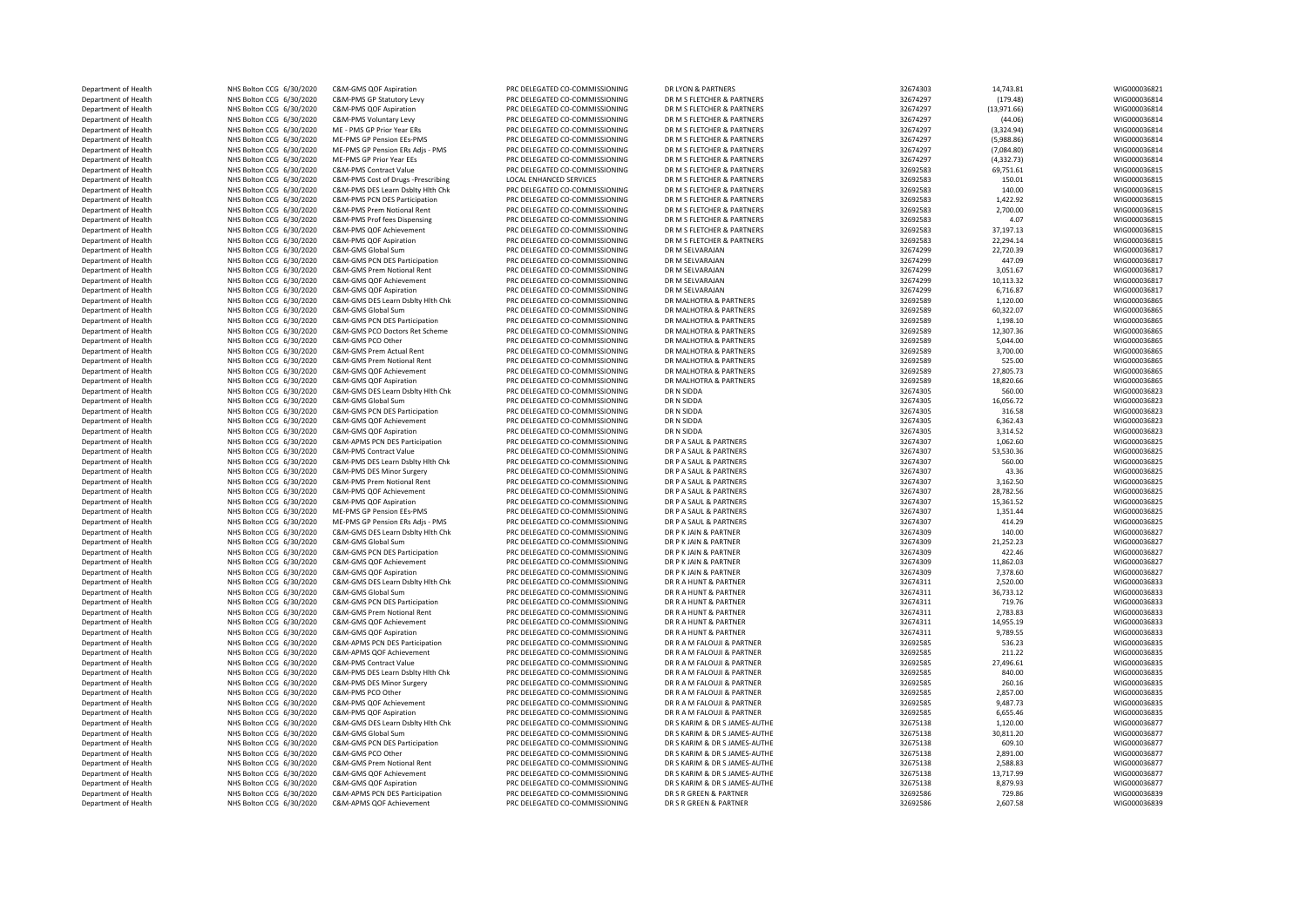| Department of Health | NHS Bolton CCG 6/30/2020 | C&M-GMS QOF Aspiration             | PRC DELEGATED CO-COMMISSIONING | DR LYON & PARTNERS            | 32674303 | 14,743.81   | WIG000036821 |
|----------------------|--------------------------|------------------------------------|--------------------------------|-------------------------------|----------|-------------|--------------|
| Department of Health | NHS Bolton CCG 6/30/2020 | C&M-PMS GP Statutory Levy          | PRC DELEGATED CO-COMMISSIONING | DR M S FLETCHER & PARTNERS    | 32674297 | (179.48)    | WIG000036814 |
| Department of Health | NHS Bolton CCG 6/30/2020 | C&M-PMS QOF Aspiration             | PRC DELEGATED CO-COMMISSIONING | DR M S FLETCHER & PARTNERS    | 32674297 | (13,971.66) | WIG000036814 |
| Department of Health | NHS Bolton CCG 6/30/2020 | C&M-PMS Voluntary Levy             | PRC DELEGATED CO-COMMISSIONING | DR M S FLETCHER & PARTNERS    | 32674297 | (44.06)     | WIG000036814 |
| Department of Health | NHS Bolton CCG 6/30/2020 | ME - PMS GP Prior Year ERs         | PRC DELEGATED CO-COMMISSIONING | DR M S FLETCHER & PARTNERS    | 32674297 | (3,324.94)  | WIG000036814 |
| Department of Health | NHS Bolton CCG 6/30/2020 | ME-PMS GP Pension EEs-PMS          | PRC DELEGATED CO-COMMISSIONING | DR M S FLETCHER & PARTNERS    | 32674297 | (5,988.86)  | WIG000036814 |
| Department of Health | NHS Bolton CCG 6/30/2020 | ME-PMS GP Pension ERs Adjs - PMS   | PRC DELEGATED CO-COMMISSIONING | DR M S FLETCHER & PARTNERS    | 32674297 | (7,084.80)  | WIG000036814 |
| Department of Health | NHS Bolton CCG 6/30/2020 | MF-PMS GP Prior Year FFs           | PRC DELEGATED CO-COMMISSIONING | DR M S FLETCHER & PARTNERS    | 32674297 | (4, 332.73) | WIG000036814 |
| Department of Health | NHS Bolton CCG 6/30/2020 | <b>C&amp;M-PMS Contract Value</b>  | PRC DELEGATED CO-COMMISSIONING | DR M S FLETCHER & PARTNERS    | 32692583 | 69,751.61   | WIG00003681  |
| Department of Health | NHS Bolton CCG 6/30/2020 | C&M-PMS Cost of Drugs -Prescribing | <b>LOCAL ENHANCED SERVICES</b> | DR M S FLETCHER & PARTNERS    | 32692583 | 150.01      | WIG000036815 |
| Department of Health | NHS Bolton CCG 6/30/2020 | C&M-PMS DES Learn Dsblty Hith Chk  | PRC DELEGATED CO-COMMISSIONING | DR M S FLETCHER & PARTNERS    | 32692583 | 140.00      | WIG000036815 |
| Department of Health | NHS Bolton CCG 6/30/2020 | C&M-PMS PCN DES Participation      | PRC DELEGATED CO-COMMISSIONING | DR M S FLETCHER & PARTNERS    | 32692583 | 1,422.92    | WIG000036815 |
| Department of Health | NHS Bolton CCG 6/30/2020 | C&M-PMS Prem Notional Rent         | PRC DELEGATED CO-COMMISSIONING | DR M S FLETCHER & PARTNERS    | 32692583 | 2,700.00    | WIG000036815 |
| Department of Health | NHS Bolton CCG 6/30/2020 | C&M-PMS Prof fees Dispensing       | PRC DELEGATED CO-COMMISSIONING | DR M S FLETCHER & PARTNERS    | 32692583 | 4.07        | WIG000036815 |
| Department of Health | NHS Bolton CCG 6/30/2020 | C&M-PMS QOF Achievement            | PRC DELEGATED CO-COMMISSIONING | DR M S FLETCHER & PARTNERS    | 32692583 | 37,197.13   | WIG000036815 |
| Department of Health | NHS Bolton CCG 6/30/2020 | C&M-PMS QOF Aspiration             | PRC DELEGATED CO-COMMISSIONING | DR M S FLETCHER & PARTNERS    | 32692583 | 22,294.14   | WIG000036815 |
| Department of Health | NHS Bolton CCG 6/30/2020 | C&M-GMS Global Sum                 | PRC DELEGATED CO-COMMISSIONING | DR M SELVARAJAN               | 32674299 | 22,720.39   | WIG000036817 |
| Department of Health | NHS Bolton CCG 6/30/2020 | C&M-GMS PCN DES Participation      | PRC DELEGATED CO-COMMISSIONING | DR M SELVARAJAN               | 32674299 | 447.09      | WIG000036817 |
| Department of Health | NHS Bolton CCG 6/30/2020 | C&M-GMS Prem Notional Rent         | PRC DELEGATED CO-COMMISSIONING | DR M SELVARAJAN               | 32674299 | 3,051.67    | WIG000036817 |
| Department of Health | NHS Bolton CCG 6/30/2020 | C&M-GMS OOF Achievement            | PRC DELEGATED CO-COMMISSIONING | DR M SELVARAJAN               | 32674299 | 10,113.32   | WIG000036817 |
| Department of Health | NHS Bolton CCG 6/30/2020 | C&M-GMS QOF Aspiration             | PRC DELEGATED CO-COMMISSIONING | DR M SFI VARAIAN              | 32674299 | 6,716.87    | WIG000036817 |
| Department of Health | NHS Bolton CCG 6/30/2020 | C&M-GMS DES Learn Dsblty Hlth Chk  | PRC DELEGATED CO-COMMISSIONING | DR MALHOTRA & PARTNERS        | 32692589 | 1,120.00    | WIG000036865 |
| Department of Health | NHS Bolton CCG 6/30/2020 | C&M-GMS Global Sum                 | PRC DELEGATED CO-COMMISSIONING | DR MALHOTRA & PARTNERS        | 32692589 | 60,322.07   | WIG000036865 |
| Department of Health | NHS Bolton CCG 6/30/2020 | C&M-GMS PCN DES Participation      | PRC DELEGATED CO-COMMISSIONING | DR MALHOTRA & PARTNERS        | 32692589 | 1,198.10    | WIG000036865 |
| Department of Health | NHS Bolton CCG 6/30/2020 | C&M-GMS PCO Doctors Ret Scheme     | PRC DELEGATED CO-COMMISSIONING | DR MALHOTRA & PARTNERS        | 32692589 | 12,307.36   | WIG000036865 |
| Department of Health | NHS Bolton CCG 6/30/2020 | C&M-GMS PCO Other                  | PRC DELEGATED CO-COMMISSIONING | DR MALHOTRA & PARTNERS        | 32692589 | 5,044.00    | WIG000036865 |
| Department of Health | NHS Bolton CCG 6/30/2020 | C&M-GMS Prem Actual Rent           | PRC DELEGATED CO-COMMISSIONING | DR MALHOTRA & PARTNERS        | 32692589 | 3,700.00    | WIG000036865 |
| Department of Health | NHS Bolton CCG 6/30/2020 | C&M-GMS Prem Notional Rent         | PRC DELEGATED CO-COMMISSIONING | DR MALHOTRA & PARTNERS        | 32692589 | 525.00      | WIG000036865 |
|                      |                          | C&M-GMS QOF Achievement            |                                |                               |          |             | WIG00003686  |
| Department of Health | NHS Bolton CCG 6/30/2020 |                                    | PRC DELEGATED CO-COMMISSIONING | DR MALHOTRA & PARTNERS        | 32692589 | 27,805.73   |              |
| Department of Health | NHS Bolton CCG 6/30/2020 | C&M-GMS QOF Aspiration             | PRC DELEGATED CO-COMMISSIONING | DR MALHOTRA & PARTNERS        | 32692589 | 18,820.66   | WIG000036865 |
| Department of Health | NHS Bolton CCG 6/30/2020 | C&M-GMS DES Learn Dsblty Hlth Chk  | PRC DELEGATED CO-COMMISSIONING | DR N SIDDA                    | 32674305 | 560.00      | WIG000036823 |
| Department of Health | NHS Bolton CCG 6/30/2020 | C&M-GMS Global Sum                 | PRC DELEGATED CO-COMMISSIONING | DR N SIDDA                    | 32674305 | 16,056.72   | WIG000036823 |
| Department of Health | NHS Bolton CCG 6/30/2020 | C&M-GMS PCN DES Participation      | PRC DELEGATED CO-COMMISSIONING | DR N SIDDA                    | 32674305 | 316.58      | WIG000036823 |
| Department of Health | NHS Bolton CCG 6/30/2020 | C&M-GMS QOF Achievement            | PRC DELEGATED CO-COMMISSIONING | DR N SIDDA                    | 32674305 | 6,362.43    | WIG000036823 |
| Department of Health | NHS Bolton CCG 6/30/2020 | C&M-GMS QOF Aspiration             | PRC DELEGATED CO-COMMISSIONING | DR N SIDDA                    | 32674305 | 3,314.52    | WIG000036823 |
| Department of Health | NHS Bolton CCG 6/30/2020 | C&M-APMS PCN DES Participation     | PRC DELEGATED CO-COMMISSIONING | DR P A SAUL & PARTNERS        | 32674307 | 1,062.60    | WIG000036825 |
| Department of Health | NHS Bolton CCG 6/30/2020 | C&M-PMS Contract Value             | PRC DELEGATED CO-COMMISSIONING | DR P A SAUL & PARTNERS        | 32674307 | 53,530.36   | WIG000036825 |
| Department of Health | NHS Bolton CCG 6/30/2020 | C&M-PMS DES Learn Dsblty Hlth Chk  | PRC DELEGATED CO-COMMISSIONING | DR P A SAUL & PARTNERS        | 32674307 | 560.00      | WIG000036825 |
| Department of Health | NHS Bolton CCG 6/30/2020 | C&M-PMS DES Minor Surgery          | PRC DELEGATED CO-COMMISSIONING | DR P A SAUL & PARTNERS        | 32674307 | 43.36       | WIG000036825 |
| Department of Health | NHS Bolton CCG 6/30/2020 | C&M-PMS Prem Notional Rent         | PRC DELEGATED CO-COMMISSIONING | DR P A SAUL & PARTNERS        | 32674307 | 3,162.50    | WIG000036825 |
| Department of Health | NHS Bolton CCG 6/30/2020 | C&M-PMS QOF Achievement            | PRC DELEGATED CO-COMMISSIONING | DR P A SAUL & PARTNERS        | 32674307 | 28,782.56   | WIG000036825 |
| Department of Health | NHS Bolton CCG 6/30/2020 | C&M-PMS QOF Aspiration             | PRC DELEGATED CO-COMMISSIONING | DR P A SAUL & PARTNERS        | 32674307 | 15,361.52   | WIG000036825 |
| Department of Health | NHS Bolton CCG 6/30/2020 | ME-PMS GP Pension EEs-PMS          | PRC DELEGATED CO-COMMISSIONING | DR P A SAUL & PARTNERS        | 32674307 | 1,351.44    | WIG000036825 |
| Department of Health | NHS Bolton CCG 6/30/2020 | ME-PMS GP Pension ERs Adjs - PMS   | PRC DELEGATED CO-COMMISSIONING | DR P A SAUL & PARTNERS        | 32674307 | 414.29      | WIG000036825 |
| Department of Health | NHS Bolton CCG 6/30/2020 | C&M-GMS DES Learn Dsblty Hlth Chk  | PRC DELEGATED CO-COMMISSIONING | DR P K JAIN & PARTNER         | 32674309 | 140.00      | WIG000036827 |
| Department of Health | NHS Bolton CCG 6/30/2020 | C&M-GMS Global Sum                 | PRC DELEGATED CO-COMMISSIONING | DR P K JAIN & PARTNER         | 32674309 | 21,252.23   | WIG000036827 |
| Department of Health | NHS Bolton CCG 6/30/2020 | C&M-GMS PCN DES Participation      | PRC DELEGATED CO-COMMISSIONING | DR P K JAIN & PARTNER         | 32674309 | 422.46      | WIG00003682  |
| Department of Health | NHS Bolton CCG 6/30/2020 | C&M-GMS QOF Achievement            | PRC DELEGATED CO-COMMISSIONING | DR P K JAIN & PARTNER         | 32674309 | 11,862.03   | WIG000036827 |
| Department of Health | NHS Bolton CCG 6/30/2020 | C&M-GMS QOF Aspiration             | PRC DELEGATED CO-COMMISSIONING | DR P K JAIN & PARTNER         | 32674309 | 7,378.60    | WIG000036827 |
| Department of Health | NHS Bolton CCG 6/30/2020 | C&M-GMS DES Learn Dsblty Hlth Chk  | PRC DELEGATED CO-COMMISSIONING | DR R A HUNT & PARTNER         | 32674311 | 2,520.00    | WIG000036833 |
| Department of Health | NHS Bolton CCG 6/30/2020 | C&M-GMS Global Sum                 | PRC DELEGATED CO-COMMISSIONING | DR R A HUNT & PARTNER         | 32674311 | 36,733.12   | WIG000036833 |
| Department of Health | NHS Bolton CCG 6/30/2020 | C&M-GMS PCN DES Participation      | PRC DELEGATED CO-COMMISSIONING | DR R A HUNT & PARTNER         | 32674311 | 719.76      | WIG000036833 |
| Department of Health | NHS Bolton CCG 6/30/2020 | C&M-GMS Prem Notional Rent         | PRC DELEGATED CO-COMMISSIONING | DR R A HUNT & PARTNER         | 32674311 | 2,783.83    | WIG000036833 |
| Department of Health | NHS Bolton CCG 6/30/2020 | C&M-GMS QOF Achievement            | PRC DELEGATED CO-COMMISSIONING | DR R A HUNT & PARTNER         | 32674311 | 14,955.19   | WIG000036833 |
| Department of Health | NHS Bolton CCG 6/30/2020 | C&M-GMS QOF Aspiration             | PRC DELEGATED CO-COMMISSIONING | DR R A HUNT & PARTNER         | 32674311 | 9,789.55    | WIG000036833 |
| Department of Health | NHS Bolton CCG 6/30/2020 | C&M-APMS PCN DES Participation     | PRC DELEGATED CO-COMMISSIONING | DR R A M FALOUJI & PARTNER    | 32692585 | 536.23      | WIG000036835 |
| Department of Health | NHS Bolton CCG 6/30/2020 | C&M-APMS QOF Achievement           | PRC DELEGATED CO-COMMISSIONING | DR R A M FALOUJI & PARTNER    | 32692585 | 211.22      | WIG000036835 |
| Department of Health | NHS Bolton CCG 6/30/2020 | C&M-PMS Contract Value             | PRC DELEGATED CO-COMMISSIONING | DR R A M FALOUJI & PARTNER    | 32692585 | 27,496.61   | WIG000036835 |
| Department of Health | NHS Bolton CCG 6/30/2020 | C&M-PMS DES Learn Dsblty Hlth Chk  | PRC DELEGATED CO-COMMISSIONING | DR R A M FALOUJI & PARTNER    | 32692585 | 840.00      | WIG000036835 |
| Department of Health | NHS Bolton CCG 6/30/2020 | C&M-PMS DES Minor Surgery          | PRC DELEGATED CO-COMMISSIONING | DR R A M FALOUJI & PARTNER    | 32692585 | 260.16      | WIG000036835 |
| Department of Health | NHS Bolton CCG 6/30/2020 | C&M-PMS PCO Other                  | PRC DELEGATED CO-COMMISSIONING | DR R A M FALOUJI & PARTNER    | 32692585 | 2,857.00    | WIG000036835 |
| Department of Health | NHS Bolton CCG 6/30/2020 | C&M-PMS QOF Achievement            | PRC DELEGATED CO-COMMISSIONING | DR R A M FALOUJI & PARTNER    | 32692585 | 9,487.73    | WIG000036835 |
|                      | NHS Bolton CCG 6/30/2020 |                                    | PRC DELEGATED CO-COMMISSIONING | DR R A M FALOUJI & PARTNER    |          |             | WIG00003683  |
| Department of Health |                          | C&M-PMS QOF Aspiration             |                                |                               | 32692585 | 6,655.46    |              |
| Department of Health | NHS Bolton CCG 6/30/2020 | C&M-GMS DES Learn Dsblty Hlth Chk  | PRC DELEGATED CO-COMMISSIONING | DR S KARIM & DR S JAMES-AUTHE | 32675138 | 1,120.00    | WIG000036877 |
| Department of Health | NHS Bolton CCG 6/30/2020 | C&M-GMS Global Sum                 | PRC DELEGATED CO-COMMISSIONING | DR S KARIM & DR S JAMES-AUTHE | 32675138 | 30,811.20   | WIG000036877 |
| Department of Health | NHS Bolton CCG 6/30/2020 | C&M-GMS PCN DES Participation      | PRC DELEGATED CO-COMMISSIONING | DR S KARIM & DR S JAMES-AUTHE | 32675138 | 609.10      | WIG000036877 |
| Department of Health | NHS Bolton CCG 6/30/2020 | C&M-GMS PCO Other                  | PRC DELEGATED CO-COMMISSIONING | DR S KARIM & DR S JAMES-AUTHE | 32675138 | 2,891.00    | WIG000036877 |
| Department of Health | NHS Bolton CCG 6/30/2020 | C&M-GMS Prem Notional Rent         | PRC DELEGATED CO-COMMISSIONING | DR S KARIM & DR S JAMES-AUTHE | 32675138 | 2,588.83    | WIG000036877 |
| Department of Health | NHS Bolton CCG 6/30/2020 | C&M-GMS OOF Achievement            | PRC DELEGATED CO-COMMISSIONING | DR S KARIM & DR S JAMES-AUTHE | 32675138 | 13,717.99   | WIG000036877 |
| Department of Health | NHS Bolton CCG 6/30/2020 | C&M-GMS QOF Aspiration             | PRC DELEGATED CO-COMMISSIONING | DR S KARIM & DR S JAMES-AUTHE | 32675138 | 8,879.93    | WIG000036877 |
| Department of Health | NHS Bolton CCG 6/30/2020 | C&M-APMS PCN DES Participation     | PRC DELEGATED CO-COMMISSIONING | DR S R GREEN & PARTNER        | 32692586 | 729.86      | WIG000036839 |
| Department of Health | NHS Bolton CCG 6/30/2020 | C&M-APMS QOF Achievement           | PRC DELEGATED CO-COMMISSIONING | DR S R GREEN & PARTNER        | 32692586 | 2,607.58    | WIG000036839 |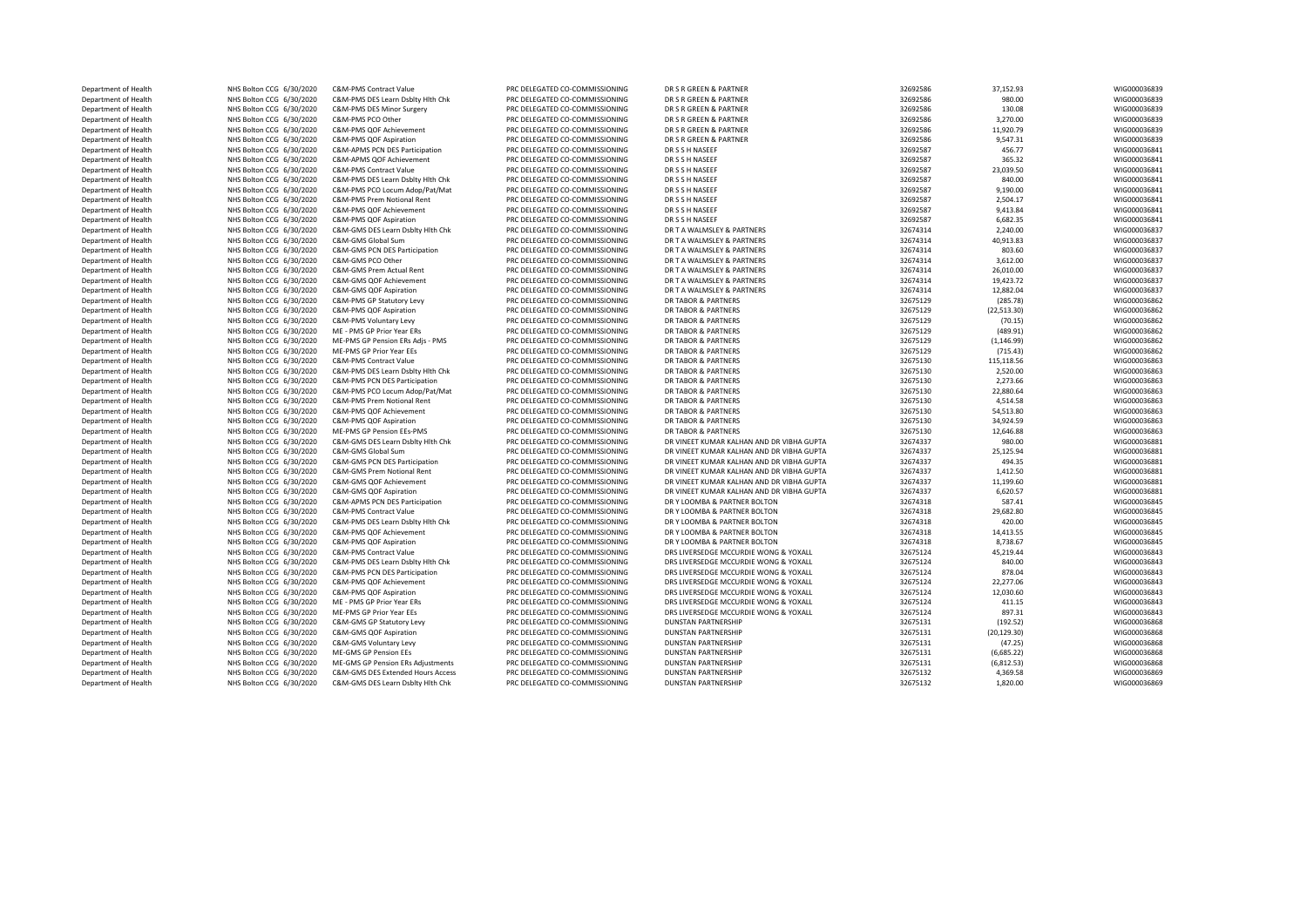| Department of Health                         | NHS Bolton CCG 6/30/2020 | C&M-PMS Contract Value                             | PRC DELEGATED CO-COMMISSIONING | DR S R GREEN & PARTNER                    | 32692586 | 37,152.93    | WIG000036839 |
|----------------------------------------------|--------------------------|----------------------------------------------------|--------------------------------|-------------------------------------------|----------|--------------|--------------|
| Department of Health                         | NHS Bolton CCG 6/30/2020 | C&M-PMS DES Learn Dsblty Hlth Chk                  | PRC DELEGATED CO-COMMISSIONING | DR S R GREEN & PARTNER                    | 32692586 | 980.00       | WIG000036839 |
| Department of Health                         | NHS Bolton CCG 6/30/2020 | C&M-PMS DES Minor Surgery                          | PRC DELEGATED CO-COMMISSIONING | DR S R GREEN & PARTNER                    | 32692586 | 130.08       | WIG000036839 |
| Department of Health                         | NHS Bolton CCG 6/30/2020 | C&M-PMS PCO Other                                  | PRC DELEGATED CO-COMMISSIONING | DR S R GREEN & PARTNER                    | 32692586 | 3,270.00     | WIG000036839 |
| Department of Health                         | NHS Bolton CCG 6/30/2020 | C&M-PMS QOF Achievement                            | PRC DELEGATED CO-COMMISSIONING | DR S R GREEN & PARTNER                    | 32692586 | 11,920.79    | WIG000036839 |
| Department of Health                         | NHS Bolton CCG 6/30/2020 | C&M-PMS QOF Aspiration                             | PRC DELEGATED CO-COMMISSIONING | DR S R GREEN & PARTNER                    | 32692586 | 9,547.31     | WIG000036839 |
| Department of Health                         | NHS Bolton CCG 6/30/2020 | C&M-APMS PCN DES Participation                     | PRC DELEGATED CO-COMMISSIONING | DR S S H NASEEF                           | 32692587 | 456.77       | WIG000036841 |
| Department of Health                         | NHS Bolton CCG 6/30/2020 | C&M-APMS QOF Achievement                           | PRC DELEGATED CO-COMMISSIONING | DR S S H NASEEF                           | 32692587 | 365.32       | WIG000036841 |
| Department of Health                         | NHS Bolton CCG 6/30/2020 | C&M-PMS Contract Value                             | PRC DELEGATED CO-COMMISSIONING | DR S S H NASEEF                           | 32692587 | 23,039.50    | WIG000036841 |
| Department of Health                         | NHS Bolton CCG 6/30/2020 | C&M-PMS DES Learn Dsblty Hlth Chk                  | PRC DELEGATED CO-COMMISSIONING | DR S S H NASEEF                           | 32692587 | 840.00       | WIG000036841 |
| Department of Health                         | NHS Bolton CCG 6/30/2020 | C&M-PMS PCO Locum Adop/Pat/Mat                     | PRC DELEGATED CO-COMMISSIONING | DR S S H NASEER                           | 32692587 | 9,190.00     | WIG000036841 |
| Department of Health                         | NHS Bolton CCG 6/30/2020 | C&M-PMS Prem Notional Rent                         | PRC DELEGATED CO-COMMISSIONING | DR S S H NASEEF                           | 32692587 | 2,504.17     | WIG000036841 |
| Department of Health                         | NHS Bolton CCG 6/30/2020 | C&M-PMS QOF Achievement                            | PRC DELEGATED CO-COMMISSIONING | DR S S H NASEEF                           | 32692587 | 9,413.84     | WIG000036841 |
| Department of Health                         | NHS Bolton CCG 6/30/2020 | C&M-PMS QOF Aspiration                             | PRC DELEGATED CO-COMMISSIONING | DR S S H NASEEF                           | 32692587 | 6,682.35     | WIG000036841 |
| Department of Health                         | NHS Bolton CCG 6/30/2020 | C&M-GMS DES Learn Dsblty Hith Chk                  | PRC DELEGATED CO-COMMISSIONING | DR T A WALMSLEY & PARTNERS                | 32674314 | 2,240.00     | WIG000036837 |
| Department of Health                         | NHS Bolton CCG 6/30/2020 | C&M-GMS Global Sum                                 | PRC DELEGATED CO-COMMISSIONING | DR T A WALMSLEY & PARTNERS                | 32674314 | 40,913.83    | WIG000036837 |
|                                              | NHS Bolton CCG 6/30/2020 |                                                    | PRC DELEGATED CO-COMMISSIONING | DR T A WALMSLEY & PARTNERS                | 32674314 | 803.60       | WIG000036837 |
| Department of Health<br>Department of Health |                          | C&M-GMS PCN DES Participation<br>C&M-GMS PCO Other | PRC DELEGATED CO-COMMISSIONING | DR T A WALMSLEY & PARTNERS                | 32674314 | 3,612.00     | WIG000036837 |
|                                              | NHS Bolton CCG 6/30/2020 |                                                    |                                |                                           |          |              |              |
| Department of Health                         | NHS Bolton CCG 6/30/2020 | C&M-GMS Prem Actual Rent                           | PRC DELEGATED CO-COMMISSIONING | DR T A WALMSLEY & PARTNERS                | 32674314 | 26,010.00    | WIG000036837 |
| Department of Health                         | NHS Bolton CCG 6/30/2020 | C&M-GMS QOF Achievement                            | PRC DELEGATED CO-COMMISSIONING | DR T A WALMSLEY & PARTNERS                | 32674314 | 19,423.72    | WIG000036837 |
| Department of Health                         | NHS Bolton CCG 6/30/2020 | C&M-GMS QOF Aspiration                             | PRC DELEGATED CO-COMMISSIONING | DR T A WALMSLEY & PARTNERS                | 32674314 | 12,882.04    | WIG000036837 |
| Department of Health                         | NHS Bolton CCG 6/30/2020 | C&M-PMS GP Statutory Levy                          | PRC DELEGATED CO-COMMISSIONING | DR TABOR & PARTNERS                       | 32675129 | (285.78)     | WIG000036862 |
| Department of Health                         | NHS Bolton CCG 6/30/2020 | C&M-PMS QOF Aspiration                             | PRC DELEGATED CO-COMMISSIONING | DR TABOR & PARTNERS                       | 32675129 | (22, 513.30) | WIG000036862 |
| Department of Health                         | NHS Bolton CCG 6/30/2020 | C&M-PMS Voluntary Levy                             | PRC DELEGATED CO-COMMISSIONING | DR TABOR & PARTNERS                       | 32675129 | (70.15)      | WIG000036862 |
| Department of Health                         | NHS Bolton CCG 6/30/2020 | ME - PMS GP Prior Year ERs                         | PRC DELEGATED CO-COMMISSIONING | DR TABOR & PARTNERS                       | 32675129 | (489.91)     | WIG000036862 |
| Department of Health                         | NHS Bolton CCG 6/30/2020 | ME-PMS GP Pension ERs Adjs - PMS                   | PRC DELEGATED CO-COMMISSIONING | DR TABOR & PARTNERS                       | 32675129 | (1, 146.99)  | WIG000036862 |
| Department of Health                         | NHS Bolton CCG 6/30/2020 | ME-PMS GP Prior Year EEs                           | PRC DELEGATED CO-COMMISSIONING | DR TABOR & PARTNERS                       | 32675129 | (715.43)     | WIG000036862 |
| Department of Health                         | NHS Bolton CCG 6/30/2020 | C&M-PMS Contract Value                             | PRC DELEGATED CO-COMMISSIONING | DR TABOR & PARTNERS                       | 32675130 | 115,118.56   | WIG000036863 |
| Department of Health                         | NHS Bolton CCG 6/30/2020 | C&M-PMS DES Learn Dsblty Hith Chk                  | PRC DELEGATED CO-COMMISSIONING | DR TABOR & PARTNERS                       | 32675130 | 2,520.00     | WIG000036863 |
| Department of Health                         | NHS Bolton CCG 6/30/2020 | C&M-PMS PCN DES Participation                      | PRC DELEGATED CO-COMMISSIONING | DR TABOR & PARTNERS                       | 32675130 | 2,273.66     | WIG000036863 |
| Department of Health                         | NHS Bolton CCG 6/30/2020 | C&M-PMS PCO Locum Adop/Pat/Mat                     | PRC DELEGATED CO-COMMISSIONING | DR TABOR & PARTNERS                       | 32675130 | 22,880.64    | WIG000036863 |
| Department of Health                         | NHS Bolton CCG 6/30/2020 | C&M-PMS Prem Notional Rent                         | PRC DELEGATED CO-COMMISSIONING | DR TABOR & PARTNERS                       | 32675130 | 4,514.58     | WIG000036863 |
| Department of Health                         | NHS Bolton CCG 6/30/2020 | C&M-PMS QOF Achievement                            | PRC DELEGATED CO-COMMISSIONING | DR TABOR & PARTNERS                       | 32675130 | 54,513.80    | WIG000036863 |
| Department of Health                         | NHS Bolton CCG 6/30/2020 | C&M-PMS QOF Aspiration                             | PRC DELEGATED CO-COMMISSIONING | DR TABOR & PARTNERS                       | 32675130 | 34,924.59    | WIG000036863 |
| Department of Health                         | NHS Bolton CCG 6/30/2020 | ME-PMS GP Pension EEs-PMS                          | PRC DELEGATED CO-COMMISSIONING | DR TABOR & PARTNERS                       | 32675130 | 12,646.88    | WIG000036863 |
| Department of Health                         | NHS Bolton CCG 6/30/2020 | C&M-GMS DES Learn Dsblty Hith Chk                  | PRC DELEGATED CO-COMMISSIONING | DR VINEET KUMAR KALHAN AND DR VIBHA GUPTA | 32674337 | 980.00       | WIG000036881 |
| Department of Health                         | NHS Bolton CCG 6/30/2020 | C&M-GMS Global Sum                                 | PRC DELEGATED CO-COMMISSIONING | DR VINEET KUMAR KALHAN AND DR VIBHA GUPTA | 32674337 | 25,125.94    | WIG000036881 |
| Department of Health                         | NHS Bolton CCG 6/30/2020 | C&M-GMS PCN DES Participation                      | PRC DELEGATED CO-COMMISSIONING | DR VINEET KUMAR KALHAN AND DR VIBHA GUPTA | 32674337 | 494.35       | WIG000036881 |
| Department of Health                         | NHS Bolton CCG 6/30/2020 | C&M-GMS Prem Notional Rent                         | PRC DELEGATED CO-COMMISSIONING | DR VINEET KUMAR KALHAN AND DR VIBHA GUPTA | 32674337 | 1,412.50     | WIG000036881 |
| Department of Health                         | NHS Bolton CCG 6/30/2020 | C&M-GMS QOF Achievement                            | PRC DELEGATED CO-COMMISSIONING | DR VINEET KUMAR KALHAN AND DR VIBHA GUPTA | 32674337 | 11,199.60    | WIG000036881 |
| Department of Health                         | NHS Bolton CCG 6/30/2020 | C&M-GMS QOF Aspiration                             | PRC DELEGATED CO-COMMISSIONING | DR VINEET KUMAR KALHAN AND DR VIBHA GUPTA | 32674337 | 6,620.57     | WIG000036881 |
| Department of Health                         | NHS Bolton CCG 6/30/2020 | C&M-APMS PCN DES Participation                     | PRC DELEGATED CO-COMMISSIONING | DR Y LOOMBA & PARTNER BOLTON              | 32674318 | 587.41       | WIG000036845 |
| Department of Health                         | NHS Bolton CCG 6/30/2020 | C&M-PMS Contract Value                             | PRC DELEGATED CO-COMMISSIONING | DR Y LOOMBA & PARTNER BOLTON              | 32674318 | 29,682.80    | WIG000036845 |
| Department of Health                         | NHS Bolton CCG 6/30/2020 | C&M-PMS DES Learn Dsblty Hlth Chk                  | PRC DELEGATED CO-COMMISSIONING | DR Y LOOMBA & PARTNER BOLTON              | 32674318 | 420.00       | WIG000036845 |
| Department of Health                         | NHS Bolton CCG 6/30/2020 | C&M-PMS QOF Achievement                            | PRC DELEGATED CO-COMMISSIONING | DR Y LOOMBA & PARTNER BOLTON              | 32674318 | 14,413.55    | WIG000036845 |
| Department of Health                         | NHS Bolton CCG 6/30/2020 | C&M-PMS QOF Aspiration                             | PRC DELEGATED CO-COMMISSIONING | DR Y LOOMBA & PARTNER BOLTON              | 32674318 | 8,738.67     | WIG000036845 |
|                                              |                          |                                                    | PRC DELEGATED CO-COMMISSIONING | DRS LIVERSEDGE MCCURDIE WONG & YOXALL     |          |              |              |
| Department of Health                         | NHS Bolton CCG 6/30/2020 | C&M-PMS Contract Value                             |                                |                                           | 32675124 | 45,219.44    | WIG000036843 |
| Department of Health                         | NHS Bolton CCG 6/30/2020 | C&M-PMS DES Learn Dsblty Hith Chk                  | PRC DELEGATED CO-COMMISSIONING | DRS LIVERSEDGE MCCURDIE WONG & YOXALL     | 32675124 | 840.00       | WIG000036843 |
| Department of Health                         | NHS Bolton CCG 6/30/2020 | C&M-PMS PCN DES Participation                      | PRC DELEGATED CO-COMMISSIONING | DRS LIVERSEDGE MCCURDIE WONG & YOXALL     | 32675124 | 878.04       | WIG000036843 |
| Department of Health                         | NHS Bolton CCG 6/30/2020 | C&M-PMS QOF Achievement                            | PRC DELEGATED CO-COMMISSIONING | DRS LIVERSEDGE MCCURDIE WONG & YOXALL     | 32675124 | 22,277.06    | WIG000036843 |
| Department of Health                         | NHS Bolton CCG 6/30/2020 | C&M-PMS QOF Aspiration                             | PRC DELEGATED CO-COMMISSIONING | DRS LIVERSEDGE MCCURDIE WONG & YOXALL     | 32675124 | 12.030.60    | WIG000036843 |
| Department of Health                         | NHS Bolton CCG 6/30/2020 | ME - PMS GP Prior Year ERs                         | PRC DELEGATED CO-COMMISSIONING | DRS LIVERSEDGE MCCURDIE WONG & YOXALL     | 32675124 | 411.15       | WIG000036843 |
| Department of Health                         | NHS Bolton CCG 6/30/2020 | ME-PMS GP Prior Year EEs                           | PRC DELEGATED CO-COMMISSIONING | DRS LIVERSEDGE MCCURDIE WONG & YOXALL     | 32675124 | 897.31       | WIG000036843 |
| Department of Health                         | NHS Bolton CCG 6/30/2020 | C&M-GMS GP Statutory Levy                          | PRC DELEGATED CO-COMMISSIONING | <b>DUNSTAN PARTNERSHIP</b>                | 32675131 | (192.52)     | WIG000036868 |
| Department of Health                         | NHS Bolton CCG 6/30/2020 | C&M-GMS QOF Aspiration                             | PRC DELEGATED CO-COMMISSIONING | <b>DUNSTAN PARTNERSHIP</b>                | 32675131 | (20, 129.30) | WIG000036868 |
| Department of Health                         | NHS Bolton CCG 6/30/2020 | C&M-GMS Voluntary Levy                             | PRC DELEGATED CO-COMMISSIONING | <b>DUNSTAN PARTNERSHIP</b>                | 32675131 | (47.25)      | WIG000036868 |
| Department of Health                         | NHS Bolton CCG 6/30/2020 | <b>ME-GMS GP Pension EEs</b>                       | PRC DELEGATED CO-COMMISSIONING | <b>DUNSTAN PARTNERSHIP</b>                | 32675131 | (6,685.22)   | WIG000036868 |
| Department of Health                         | NHS Bolton CCG 6/30/2020 | ME-GMS GP Pension ERs Adjustments                  | PRC DELEGATED CO-COMMISSIONING | <b>DUNSTAN PARTNERSHIP</b>                | 32675131 | (6,812.53)   | WIG000036868 |
| Department of Health                         | NHS Bolton CCG 6/30/2020 | C&M-GMS DES Extended Hours Access                  | PRC DELEGATED CO-COMMISSIONING | <b>DUNSTAN PARTNERSHIP</b>                | 32675132 | 4,369.58     | WIG000036869 |
| Department of Health                         | NHS Bolton CCG 6/30/2020 | C&M-GMS DES Learn Dsbltv Hlth Chk                  | PRC DELEGATED CO-COMMISSIONING | <b>DUNSTAN PARTNERSHIP</b>                | 32675132 | 1.820.00     | WIG000036869 |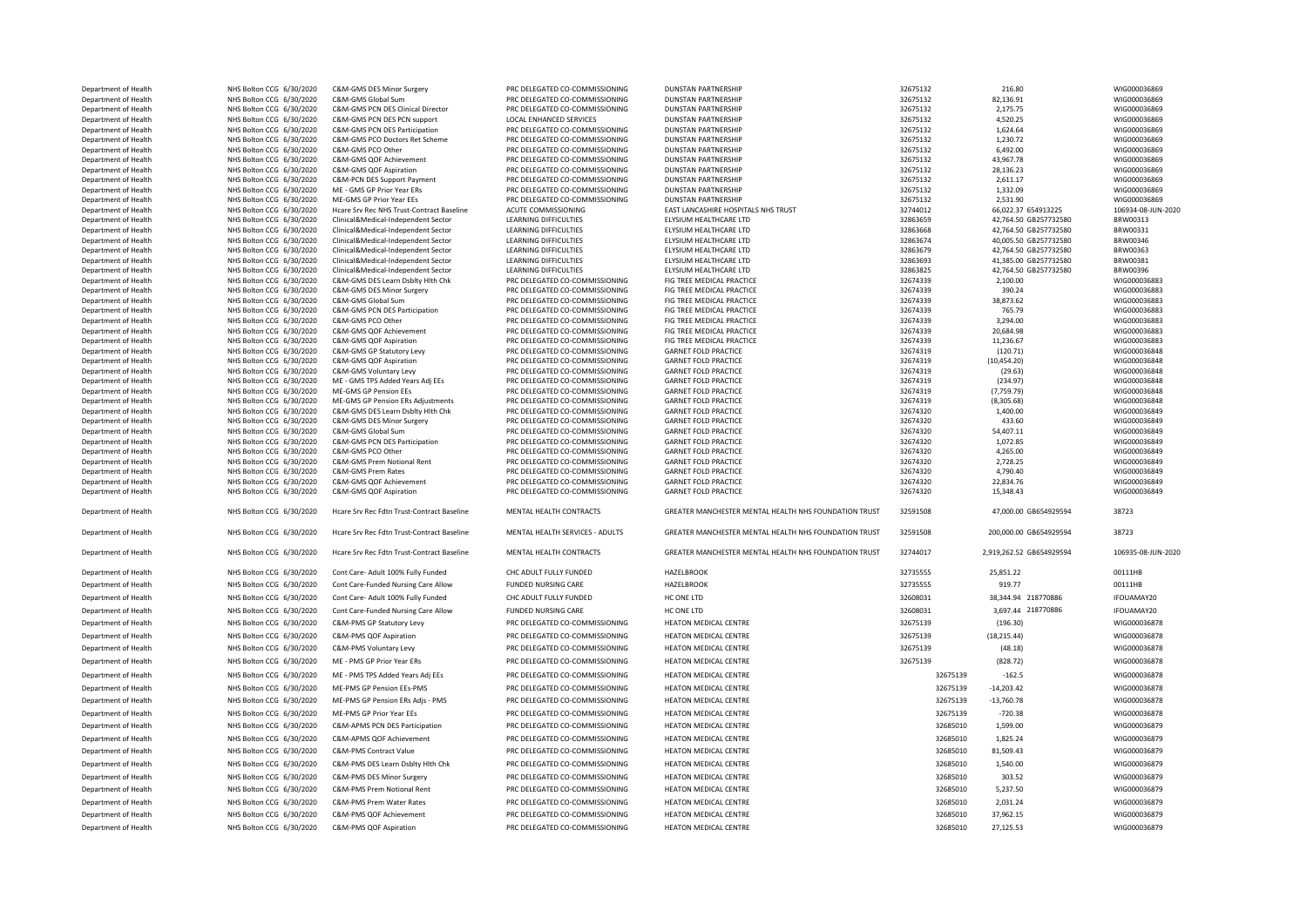| Department of Health | NHS Bolton CCG 6/30/2020 | C&M-GMS DES Minor Surgery                  | PRC DELEGATED CO-COMMISSIONING  | <b>DUNSTAN PARTNERSHIP</b>                            | 32675132 | 216.80                   | WIG000036869       |
|----------------------|--------------------------|--------------------------------------------|---------------------------------|-------------------------------------------------------|----------|--------------------------|--------------------|
| Department of Health | NHS Bolton CCG 6/30/2020 | C&M-GMS Global Sum                         | PRC DELEGATED CO-COMMISSIONING  | <b>DUNSTAN PARTNERSHIP</b>                            | 32675132 | 82,136.91                | WIG000036869       |
| Department of Health | NHS Bolton CCG 6/30/2020 | C&M-GMS PCN DES Clinical Director          | PRC DELEGATED CO-COMMISSIONING  | <b>DUNSTAN PARTNERSHIP</b>                            | 32675132 | 2,175.75                 | WIG000036869       |
| Department of Health | NHS Bolton CCG 6/30/2020 | C&M-GMS PCN DES PCN support                | <b>LOCAL ENHANCED SERVICES</b>  | <b>DUNSTAN PARTNERSHIP</b>                            | 32675132 | 4,520.25                 | WIG000036869       |
| Department of Health | NHS Bolton CCG 6/30/2020 | C&M-GMS PCN DES Participation              | PRC DELEGATED CO-COMMISSIONING  | <b>DUNSTAN PARTNERSHIP</b>                            | 32675132 | 1,624.64                 | WIG000036869       |
| Department of Health | NHS Bolton CCG 6/30/2020 | C&M-GMS PCO Doctors Ret Scheme             | PRC DELEGATED CO-COMMISSIONING  | <b>DUNSTAN PARTNERSHIP</b>                            | 32675132 | 1,230.72                 | WIG000036869       |
| Department of Health | NHS Bolton CCG 6/30/2020 | C&M-GMS PCO Other                          | PRC DELEGATED CO-COMMISSIONING  | <b>DUNSTAN PARTNERSHIP</b>                            | 32675132 | 6,492.00                 | WIG000036869       |
| Department of Health | NHS Bolton CCG 6/30/2020 | C&M-GMS QOF Achievement                    | PRC DELEGATED CO-COMMISSIONING  | <b>DUNSTAN PARTNERSHIP</b>                            | 32675132 | 43,967.78                | WIG000036869       |
| Department of Health | NHS Bolton CCG 6/30/2020 | C&M-GMS QOF Aspiration                     | PRC DELEGATED CO-COMMISSIONING  | <b>DUNSTAN PARTNERSHIP</b>                            | 32675132 | 28,136.23                | WIG000036869       |
| Department of Health | NHS Bolton CCG 6/30/2020 | C&M-PCN DES Support Payment                | PRC DELEGATED CO-COMMISSIONING  | <b>DUNSTAN PARTNERSHIP</b>                            | 32675132 | 2,611.17                 | WIG000036869       |
| Department of Health | NHS Bolton CCG 6/30/2020 | ME - GMS GP Prior Year ERs                 | PRC DELEGATED CO-COMMISSIONING  | <b>DUNSTAN PARTNERSHIP</b>                            | 32675132 | 1,332.09                 | WIG000036869       |
| Department of Health | NHS Bolton CCG 6/30/2020 | ME-GMS GP Prior Year EEs                   | PRC DELEGATED CO-COMMISSIONING  | DUNSTAN PARTNERSHIP                                   | 32675132 | 2,531.90                 | WIG000036869       |
| Department of Health | NHS Bolton CCG 6/30/2020 | Hcare Srv Rec NHS Trust-Contract Baseline  | ACUTE COMMISSIONING             | EAST LANCASHIRE HOSPITALS NHS TRUST                   | 32744012 | 66,022.37 654913225      | 106934-08-JUN-2020 |
| Department of Health | NHS Bolton CCG 6/30/2020 | Clinical&Medical-Independent Sector        | LEARNING DIFFICULTIES           | ELYSIUM HEALTHCARE LTD                                | 32863659 | 42,764.50 GB257732580    | BRW00313           |
| Department of Health | NHS Bolton CCG 6/30/2020 | Clinical&Medical-Independent Sector        | LEARNING DIFFICULTIES           | ELYSIUM HEALTHCARE LTD                                | 32863668 | 42,764.50 GB257732580    | BRW00331           |
| Department of Health | NHS Bolton CCG 6/30/2020 | Clinical&Medical-Independent Sector        | LEARNING DIFFICULTIES           | ELYSIUM HEALTHCARE LTD                                | 32863674 | 40,005.50 GB257732580    | BRW00346           |
| Department of Health | NHS Bolton CCG 6/30/2020 | Clinical&Medical-Independent Sector        | <b>LEARNING DIFFICULTIES</b>    | ELYSIUM HEALTHCARE LTD                                | 32863679 | 42.764.50 GB257732580    | BRW00363           |
| Department of Health | NHS Bolton CCG 6/30/2020 | Clinical&Medical-Independent Sector        | LEARNING DIFFICULTIES           | ELYSIUM HEALTHCARE LTD                                | 32863693 | 41.385.00 GB257732580    | BRW00381           |
| Department of Health | NHS Bolton CCG 6/30/2020 | Clinical&Medical-Independent Sector        | LEARNING DIFFICULTIES           | ELYSIUM HEALTHCARE LTD                                | 32863825 | 42,764.50 GB257732580    | BRW00396           |
| Department of Health | NHS Bolton CCG 6/30/2020 | C&M-GMS DES Learn Dsblty Hlth Chk          | PRC DELEGATED CO-COMMISSIONING  | FIG TREE MEDICAL PRACTICE                             | 32674339 | 2,100.00                 | WIG000036883       |
| Department of Health | NHS Bolton CCG 6/30/2020 | C&M-GMS DES Minor Surgery                  | PRC DELEGATED CO-COMMISSIONING  | FIG TREE MEDICAL PRACTICE                             | 32674339 | 390.24                   | WIG000036883       |
| Department of Health | NHS Bolton CCG 6/30/2020 | C&M-GMS Global Sum                         | PRC DELEGATED CO-COMMISSIONING  | FIG TREE MEDICAL PRACTICE                             | 32674339 | 38,873.62                | WIG000036883       |
| Department of Health | NHS Bolton CCG 6/30/2020 | C&M-GMS PCN DES Participation              | PRC DELEGATED CO-COMMISSIONING  | FIG TREE MEDICAL PRACTICE                             | 32674339 | 765.79                   | WIG000036883       |
| Department of Health | NHS Bolton CCG 6/30/2020 | C&M-GMS PCO Other                          | PRC DELEGATED CO-COMMISSIONING  | FIG TREE MEDICAL PRACTICE                             | 32674339 | 3,294.00                 | WIG000036883       |
| Department of Health | NHS Bolton CCG 6/30/2020 | C&M-GMS QOF Achievement                    | PRC DELEGATED CO-COMMISSIONING  | FIG TREE MEDICAL PRACTICE                             | 32674339 | 20,684.98                | WIG000036883       |
| Department of Health | NHS Bolton CCG 6/30/2020 | C&M-GMS QOF Aspiration                     | PRC DELEGATED CO-COMMISSIONING  | FIG TREE MEDICAL PRACTICE                             | 32674339 | 11,236.67                | WIG000036883       |
| Department of Health | NHS Bolton CCG 6/30/2020 | C&M-GMS GP Statutory Levy                  | PRC DELEGATED CO-COMMISSIONING  | <b>GARNET FOLD PRACTICE</b>                           | 32674319 | (120.71)                 | WIG000036848       |
| Department of Health | NHS Bolton CCG 6/30/2020 | C&M-GMS QOF Aspiration                     | PRC DELEGATED CO-COMMISSIONING  | <b>GARNET FOLD PRACTICE</b>                           | 32674319 | (10, 454.20)             | WIG000036848       |
| Department of Health | NHS Bolton CCG 6/30/2020 | C&M-GMS Voluntary Levy                     | PRC DELEGATED CO-COMMISSIONING  | <b>GARNET FOLD PRACTICE</b>                           | 32674319 | (29.63)                  | WIG000036848       |
| Department of Health | NHS Bolton CCG 6/30/2020 | ME - GMS TPS Added Years Adj EEs           | PRC DELEGATED CO-COMMISSIONING  | <b>GARNET FOLD PRACTICE</b>                           | 32674319 | (234.97)                 | WIG000036848       |
| Department of Health | NHS Bolton CCG 6/30/2020 | ME-GMS GP Pension EEs                      | PRC DELEGATED CO-COMMISSIONING  | <b>GARNET FOLD PRACTICE</b>                           | 32674319 | (7,759.79)               | WIG000036848       |
| Department of Health | NHS Bolton CCG 6/30/2020 | ME-GMS GP Pension ERs Adjustments          | PRC DELEGATED CO-COMMISSIONING  | <b>GARNET FOLD PRACTICE</b>                           | 32674319 | (8,305.68)               | WIG000036848       |
| Department of Health | NHS Bolton CCG 6/30/2020 | C&M-GMS DES Learn Dsblty Hlth Chk          | PRC DELEGATED CO-COMMISSIONING  | <b>GARNET FOLD PRACTICE</b>                           | 32674320 | 1,400.00                 | WIG000036849       |
| Department of Health | NHS Bolton CCG 6/30/2020 | C&M-GMS DES Minor Surgery                  | PRC DELEGATED CO-COMMISSIONING  | <b>GARNET FOLD PRACTICE</b>                           | 32674320 | 433.60                   | WIG000036849       |
| Department of Health | NHS Bolton CCG 6/30/2020 | C&M-GMS Global Sum                         | PRC DELEGATED CO-COMMISSIONING  | <b>GARNET FOLD PRACTICE</b>                           | 32674320 | 54,407.11                | WIG000036849       |
| Department of Health | NHS Bolton CCG 6/30/2020 | C&M-GMS PCN DES Participation              | PRC DELEGATED CO-COMMISSIONING  | <b>GARNET FOLD PRACTICE</b>                           | 32674320 | 1,072.85                 | WIG000036849       |
| Department of Health | NHS Bolton CCG 6/30/2020 | C&M-GMS PCO Other                          | PRC DELEGATED CO-COMMISSIONING  | <b>GARNET FOLD PRACTICE</b>                           | 32674320 | 4,265.00                 | WIG000036849       |
| Department of Health | NHS Bolton CCG 6/30/2020 |                                            |                                 |                                                       |          |                          |                    |
|                      |                          | C&M-GMS Prem Notional Rent                 | PRC DELEGATED CO-COMMISSIONING  | <b>GARNET FOLD PRACTICE</b>                           | 32674320 | 2,728.25                 | WIG000036849       |
| Department of Health | NHS Bolton CCG 6/30/2020 | C&M-GMS Prem Rates                         | PRC DELEGATED CO-COMMISSIONING  | <b>GARNET FOLD PRACTICE</b>                           | 32674320 | 4,790.40                 | WIG000036849       |
| Department of Health | NHS Bolton CCG 6/30/2020 | C&M-GMS QOF Achievement                    | PRC DELEGATED CO-COMMISSIONING  | <b>GARNET FOLD PRACTICE</b>                           | 32674320 | 22,834.76                | WIG000036849       |
|                      |                          |                                            |                                 |                                                       |          |                          |                    |
| Department of Health | NHS Bolton CCG 6/30/2020 | C&M-GMS QOF Aspiration                     | PRC DELEGATED CO-COMMISSIONING  | <b>GARNET FOLD PRACTICE</b>                           | 32674320 | 15,348.43                | WIG000036849       |
| Department of Health | NHS Bolton CCG 6/30/2020 | Hoare Sry Rec Fdtn Trust-Contract Baseline | MENTAL HEALTH CONTRACTS         | GREATER MANCHESTER MENTAL HEALTH NHS FOUNDATION TRUST | 32591508 | 47,000.00 GB654929594    | 38723              |
| Department of Health | NHS Bolton CCG 6/30/2020 | Hcare Srv Rec Fdtn Trust-Contract Baseline | MENTAL HEALTH SERVICES - ADULTS | GREATER MANCHESTER MENTAL HEALTH NHS FOUNDATION TRUST | 32591508 | 200,000.00 GB654929594   | 38723              |
| Department of Health | NHS Bolton CCG 6/30/2020 | Hcare Srv Rec Fdtn Trust-Contract Baseline | MENTAL HEALTH CONTRACTS         | GREATER MANCHESTER MENTAL HEALTH NHS FOUNDATION TRUST | 32744017 | 2,919,262.52 GB654929594 | 106935-08-JUN-2020 |
|                      |                          |                                            |                                 |                                                       |          |                          |                    |
| Department of Health | NHS Bolton CCG 6/30/2020 | Cont Care- Adult 100% Fully Funded         | CHC ADULT FULLY FUNDED          | <b>HAZELBROOK</b>                                     | 32735555 | 25,851.22                | 00111HB            |
| Department of Health | NHS Bolton CCG 6/30/2020 | Cont Care-Funded Nursing Care Allow        | <b>FUNDED NURSING CARE</b>      | <b>HAZELBROOK</b>                                     | 32735555 | 919.77                   | 00111HB            |
| Department of Health | NHS Bolton CCG 6/30/2020 | Cont Care- Adult 100% Fully Funded         | CHC ADULT FULLY FUNDED          | HC ONE LTD                                            | 32608031 | 38,344.94 218770886      | IFOUAMAY20         |
| Department of Health | NHS Bolton CCG 6/30/2020 | Cont Care-Funded Nursing Care Allow        | FUNDED NURSING CARE             | HC ONE LTD                                            | 32608031 | 3,697.44 218770886       | IFOUAMAY20         |
|                      |                          |                                            |                                 |                                                       |          |                          |                    |
| Department of Health | NHS Bolton CCG 6/30/2020 | C&M-PMS GP Statutory Levy                  | PRC DELEGATED CO-COMMISSIONING  | HEATON MEDICAL CENTRE                                 | 32675139 | (196.30)                 | WIG000036878       |
| Department of Health | NHS Bolton CCG 6/30/2020 | C&M-PMS QOF Aspiration                     | PRC DELEGATED CO-COMMISSIONING  | HEATON MEDICAL CENTRE                                 | 32675139 | (18, 215.44)             | WIG000036878       |
| Department of Health | NHS Bolton CCG 6/30/2020 | C&M-PMS Voluntary Levy                     | PRC DELEGATED CO-COMMISSIONING  | <b>HEATON MEDICAL CENTRE</b>                          | 32675139 | (48.18)                  | WIG000036878       |
|                      |                          |                                            |                                 |                                                       |          |                          |                    |
| Department of Health | NHS Bolton CCG 6/30/2020 | ME - PMS GP Prior Year ERs                 | PRC DELEGATED CO-COMMISSIONING  | HEATON MEDICAL CENTRE                                 | 32675139 | (828.72)                 | WIG000036878       |
| Department of Health | NHS Bolton CCG 6/30/2020 | ME - PMS TPS Added Years Adj EEs           | PRC DELEGATED CO-COMMISSIONING  | HEATON MEDICAL CENTRE                                 | 32675139 | $-162.5$                 | WIG000036878       |
| Department of Health | NHS Bolton CCG 6/30/2020 | ME-PMS GP Pension EEs-PMS                  | PRC DELEGATED CO-COMMISSIONING  | HEATON MEDICAL CENTRE                                 | 32675139 | $-14,203.42$             | WIG000036878       |
| Department of Health | NHS Bolton CCG 6/30/2020 | ME-PMS GP Pension ERs Adjs - PMS           | PRC DELEGATED CO-COMMISSIONING  | HEATON MEDICAL CENTRE                                 | 32675139 | $-13,760.78$             | WIG000036878       |
| Department of Health | NHS Bolton CCG 6/30/2020 | ME-PMS GP Prior Year EEs                   | PRC DELEGATED CO-COMMISSIONING  | HEATON MEDICAL CENTRE                                 | 32675139 | $-720.38$                | WIG000036878       |
|                      |                          |                                            |                                 |                                                       |          |                          |                    |
| Department of Health | NHS Bolton CCG 6/30/2020 | C&M-APMS PCN DES Participation             | PRC DELEGATED CO-COMMISSIONING  | HEATON MEDICAL CENTRE                                 | 32685010 | 1,599.00                 | WIG000036879       |
| Department of Health | NHS Bolton CCG 6/30/2020 | C&M-APMS QOF Achievement                   | PRC DELEGATED CO-COMMISSIONING  | HEATON MEDICAL CENTRE                                 | 32685010 | 1,825.24                 | WIG000036879       |
| Department of Health | NHS Bolton CCG 6/30/2020 | C&M-PMS Contract Value                     | PRC DELEGATED CO-COMMISSIONING  | HEATON MEDICAL CENTRE                                 | 32685010 | 81,509.43                | WIG000036879       |
| Department of Health | NHS Bolton CCG 6/30/2020 | C&M-PMS DES Learn Dsblty Hith Chk          | PRC DELEGATED CO-COMMISSIONING  | HEATON MEDICAL CENTRE                                 | 32685010 | 1,540.00                 | WIG000036879       |
|                      |                          |                                            |                                 |                                                       |          |                          |                    |
| Department of Health | NHS Bolton CCG 6/30/2020 | C&M-PMS DES Minor Surgery                  | PRC DELEGATED CO-COMMISSIONING  | HEATON MEDICAL CENTRE                                 | 32685010 | 303.52                   | WIG000036879       |
| Department of Health | NHS Bolton CCG 6/30/2020 | C&M-PMS Prem Notional Rent                 | PRC DELEGATED CO-COMMISSIONING  | HEATON MEDICAL CENTRE                                 | 32685010 | 5,237.50                 | WIG000036879       |
| Department of Health | NHS Bolton CCG 6/30/2020 | C&M-PMS Prem Water Rates                   | PRC DELEGATED CO-COMMISSIONING  | HEATON MEDICAL CENTRE                                 | 32685010 | 2,031.24                 | WIG000036879       |
| Department of Health | NHS Bolton CCG 6/30/2020 | C&M-PMS QOF Achievement                    | PRC DELEGATED CO-COMMISSIONING  | <b>HEATON MEDICAL CENTRE</b>                          | 32685010 | 37,962.15                | WIG000036879       |
| Department of Health | NHS Bolton CCG 6/30/2020 | C&M-PMS QOF Aspiration                     | PRC DELEGATED CO-COMMISSIONING  | HEATON MEDICAL CENTRE                                 | 32685010 | 27,125.53                | WIG000036879       |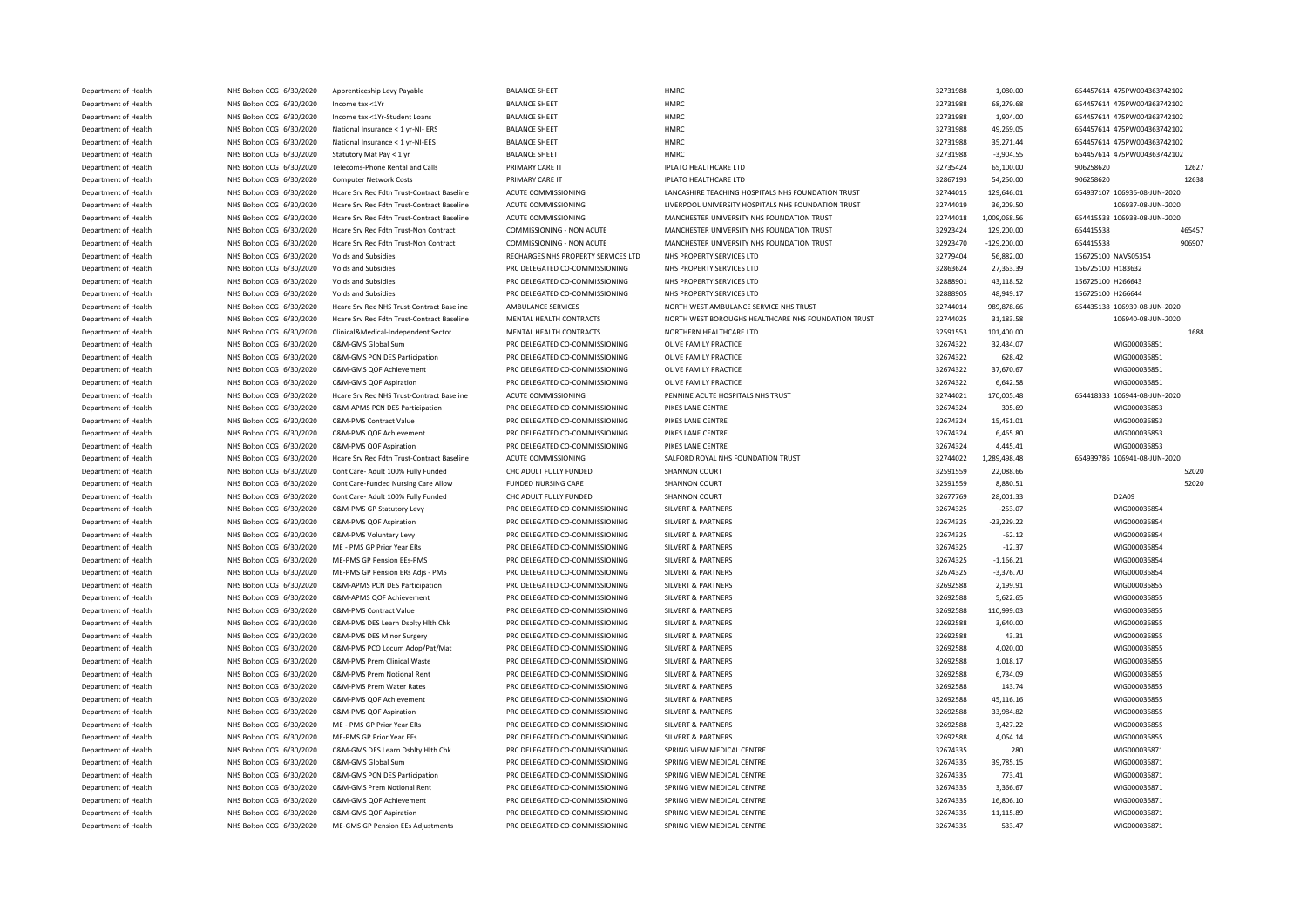| Department of Health | NHS Bolton CCG 6/30/2020 | Apprenticeship Levy Payable                | <b>BALANCE SHEET</b>                | <b>HMRC</b>                                         | 32731988 | 1,080.00      | 654457614 475PW004363742102  |
|----------------------|--------------------------|--------------------------------------------|-------------------------------------|-----------------------------------------------------|----------|---------------|------------------------------|
| Department of Health | NHS Bolton CCG 6/30/2020 | Income tax <1Yr                            | <b>BALANCE SHEET</b>                | <b>HMRC</b>                                         | 32731988 | 68,279.68     | 654457614 475PW004363742102  |
| Denartment of Health | NHS Bolton CCG 6/30/2020 | Income tax <1Yr-Student Loans              | <b>BALANCE SHEET</b>                | <b>HMRC</b>                                         | 32731988 | 1,904.00      | 654457614 475PW004363742102  |
| Department of Health | NHS Bolton CCG 6/30/2020 | National Insurance < 1 yr-NI- ERS          | <b>BALANCE SHEET</b>                | <b>HMRC</b>                                         | 32731988 | 49,269.05     | 654457614 475PW004363742102  |
| Department of Health | NHS Bolton CCG 6/30/2020 | National Insurance < 1 yr-NI-EES           | <b>BALANCE SHEET</b>                | <b>HMRC</b>                                         | 32731988 | 35,271.44     | 654457614 475PW004363742102  |
| Department of Health | NHS Bolton CCG 6/30/2020 | Statutory Mat Pay < 1 yr                   | <b>BALANCE SHEET</b>                | <b>HMRC</b>                                         | 32731988 | $-3,904.55$   | 654457614 475PW004363742102  |
| Department of Health | NHS Bolton CCG 6/30/2020 | Telecoms-Phone Rental and Calls            | PRIMARY CARE IT                     | IPLATO HEALTHCARE LTD                               | 32735424 | 65,100.00     | 906258620<br>12627           |
| Department of Health | NHS Bolton CCG 6/30/2020 | Computer Network Costs                     | PRIMARY CARE IT                     | IPLATO HEALTHCARE LTD                               | 32867193 | 54,250.00     | 906258620<br>12638           |
| Department of Health | NHS Bolton CCG 6/30/2020 | Hcare Srv Rec Fdtn Trust-Contract Baseline | ACUTE COMMISSIONING                 | LANCASHIRE TEACHING HOSPITALS NHS FOUNDATION TRUST  | 32744015 | 129,646.01    | 654937107 106936-08-JUN-2020 |
| Department of Health | NHS Bolton CCG 6/30/2020 | Hcare Srv Rec Fdtn Trust-Contract Baseline | ACUTE COMMISSIONING                 | LIVERPOOL UNIVERSITY HOSPITALS NHS FOUNDATION TRUST | 32744019 | 36,209.50     | 106937-08-JUN-2020           |
| Department of Health | NHS Bolton CCG 6/30/2020 | Hoare Sry Rec Edtn Trust-Contract Baseline | ACUTE COMMISSIONING                 | MANCHESTER UNIVERSITY NHS FOUNDATION TRUST          | 32744018 | 1,009,068.56  | 654415538 106938-08-JUN-2020 |
| Department of Health | NHS Bolton CCG 6/30/2020 | Hcare Srv Rec Fdtn Trust-Non Contract      | COMMISSIONING - NON ACUTE           | MANCHESTER UNIVERSITY NHS FOUNDATION TRUST          | 32923424 | 129,200.00    | 654415538<br>465457          |
| Department of Health | NHS Bolton CCG 6/30/2020 | Hcare Srv Rec Fdtn Trust-Non Contract      | COMMISSIONING - NON ACUTE           | MANCHESTER UNIVERSITY NHS FOUNDATION TRUST          | 32923470 | $-129,200.00$ | 654415538<br>906907          |
| Department of Health | NHS Bolton CCG 6/30/2020 | Voids and Subsidies                        | RECHARGES NHS PROPERTY SERVICES LTD | NHS PROPERTY SERVICES LTD                           | 32779404 | 56,882.00     | 156725100 NAVS05354          |
| Department of Health | NHS Bolton CCG 6/30/2020 | Voids and Subsidies                        | PRC DELEGATED CO-COMMISSIONING      | NHS PROPERTY SERVICES LTD                           | 32863624 | 27,363.39     | 156725100 H183632            |
| Department of Health | NHS Bolton CCG 6/30/2020 | Voids and Subsidies                        | PRC DELEGATED CO-COMMISSIONING      | NHS PROPERTY SERVICES LTD                           | 32888901 | 43,118.52     | 156725100 H266643            |
| Department of Health | NHS Bolton CCG 6/30/2020 | Voids and Subsidies                        | PRC DELEGATED CO-COMMISSIONING      | NHS PROPERTY SERVICES LTD                           | 32888905 | 48,949.17     | 156725100 H266644            |
| Department of Health | NHS Bolton CCG 6/30/2020 | Hcare Srv Rec NHS Trust-Contract Baseline  | AMBULANCE SERVICES                  | NORTH WEST AMBULANCE SERVICE NHS TRUST              | 32744014 | 989,878.66    | 654435138 106939-08-JUN-2020 |
|                      |                          |                                            |                                     |                                                     |          |               |                              |
| Department of Health | NHS Bolton CCG 6/30/2020 | Hcare Srv Rec Fdtn Trust-Contract Baseline | MENTAL HEALTH CONTRACTS             | NORTH WEST BOROUGHS HEALTHCARE NHS FOUNDATION TRUST | 32744025 | 31,183.58     | 106940-08-JUN-2020           |
| Department of Health | NHS Bolton CCG 6/30/2020 | Clinical&Medical-Independent Sector        | MENTAL HEALTH CONTRACTS             | NORTHERN HEALTHCARE LTD                             | 32591553 | 101,400.00    | 1688                         |
| Department of Health | NHS Bolton CCG 6/30/2020 | C&M-GMS Global Sum                         | PRC DELEGATED CO-COMMISSIONING      | OLIVE FAMILY PRACTICE                               | 32674322 | 32,434.07     | WIG000036851                 |
| Department of Health | NHS Bolton CCG 6/30/2020 | C&M-GMS PCN DES Participation              | PRC DELEGATED CO-COMMISSIONING      | OLIVE FAMILY PRACTICE                               | 32674322 | 628.42        | WIG000036851                 |
| Department of Health | NHS Bolton CCG 6/30/2020 | C&M-GMS QOF Achievement                    | PRC DELEGATED CO-COMMISSIONING      | OLIVE FAMILY PRACTICE                               | 32674322 | 37,670.67     | WIG000036851                 |
| Department of Health | NHS Bolton CCG 6/30/2020 | C&M-GMS QOF Aspiration                     | PRC DELEGATED CO-COMMISSIONING      | OLIVE FAMILY PRACTICE                               | 32674322 | 6,642.58      | WIG000036851                 |
| Department of Health | NHS Bolton CCG 6/30/2020 | Hcare Srv Rec NHS Trust-Contract Baseline  | ACUTE COMMISSIONING                 | PENNINE ACUTE HOSPITALS NHS TRUST                   | 32744021 | 170,005.48    | 654418333 106944-08-JUN-2020 |
| Department of Health | NHS Bolton CCG 6/30/2020 | C&M-APMS PCN DES Participation             | PRC DELEGATED CO-COMMISSIONING      | PIKES LANE CENTRE                                   | 32674324 | 305.69        | WIG000036853                 |
| Department of Health | NHS Bolton CCG 6/30/2020 | C&M-PMS Contract Value                     | PRC DELEGATED CO-COMMISSIONING      | PIKES LANE CENTRE                                   | 32674324 | 15,451.01     | WIG000036853                 |
| Department of Health | NHS Bolton CCG 6/30/2020 | C&M-PMS QOF Achievement                    | PRC DELEGATED CO-COMMISSIONING      | PIKES LANE CENTRE                                   | 32674324 | 6,465.80      | WIG000036853                 |
| Department of Health | NHS Bolton CCG 6/30/2020 | C&M-PMS QOF Aspiration                     | PRC DELEGATED CO-COMMISSIONING      | PIKES LANE CENTRE                                   | 32674324 | 4,445.41      | WIG000036853                 |
| Department of Health | NHS Bolton CCG 6/30/2020 | Hcare Srv Rec Fdtn Trust-Contract Baseline | ACUTE COMMISSIONING                 | SALFORD ROYAL NHS FOUNDATION TRUST                  | 32744022 | 1,289,498.48  | 654939786 106941-08-JUN-2020 |
| Department of Health | NHS Bolton CCG 6/30/2020 | Cont Care- Adult 100% Fully Funded         | CHC ADULT FULLY FUNDED              | <b>SHANNON COURT</b>                                | 32591559 | 22,088.66     | 52020                        |
| Department of Health | NHS Bolton CCG 6/30/2020 | Cont Care-Funded Nursing Care Allow        | <b>FUNDED NURSING CARE</b>          | SHANNON COURT                                       | 32591559 | 8.880.51      | 52020                        |
| Department of Health | NHS Bolton CCG 6/30/2020 | Cont Care- Adult 100% Fully Funded         | CHC ADULT FULLY FUNDED              | SHANNON COURT                                       | 32677769 | 28,001.33     | D2A09                        |
| Department of Health | NHS Bolton CCG 6/30/2020 | C&M-PMS GP Statutory Levy                  | PRC DELEGATED CO-COMMISSIONING      | <b>SILVERT &amp; PARTNERS</b>                       | 32674325 | $-253.07$     | WIG000036854                 |
| Denartment of Health | NHS Bolton CCG 6/30/2020 | C&M-PMS QOF Aspiration                     | PRC DELEGATED CO-COMMISSIONING      | <b>SILVERT &amp; PARTNERS</b>                       | 32674325 | $-23.229.22$  | WIG000036854                 |
| Department of Health | NHS Bolton CCG 6/30/2020 | C&M-PMS Voluntary Levy                     | PRC DELEGATED CO-COMMISSIONING      | <b>SILVERT &amp; PARTNERS</b>                       | 32674325 | $-62.12$      | WIG000036854                 |
| Department of Health | NHS Bolton CCG 6/30/2020 | ME - PMS GP Prior Year ERs                 | PRC DELEGATED CO-COMMISSIONING      | <b>SILVERT &amp; PARTNERS</b>                       | 32674325 | $-12.37$      | WIG000036854                 |
| Department of Health | NHS Bolton CCG 6/30/2020 | MF-PMS GP Pension FFs-PMS                  | PRC DELEGATED CO-COMMISSIONING      | <b>SILVERT &amp; PARTNERS</b>                       | 32674325 | $-1,166.21$   | WIG000036854                 |
| Department of Health | NHS Bolton CCG 6/30/2020 | ME-PMS GP Pension ERs Adjs - PMS           | PRC DELEGATED CO-COMMISSIONING      | <b>SILVERT &amp; PARTNERS</b>                       | 32674325 | $-3,376.70$   | WIG000036854                 |
| Department of Health | NHS Bolton CCG 6/30/2020 | C&M-APMS PCN DES Participation             | PRC DELEGATED CO-COMMISSIONING      | <b>SILVERT &amp; PARTNERS</b>                       | 32692588 | 2,199.91      | WIG000036855                 |
| Department of Health | NHS Bolton CCG 6/30/2020 | C&M-APMS OOF Achievement                   | PRC DELEGATED CO-COMMISSIONING      | SILVERT & PARTNERS                                  | 32692588 | 5,622.65      | WIG000036855                 |
| Department of Health | NHS Bolton CCG 6/30/2020 | C&M-PMS Contract Value                     | PRC DELEGATED CO-COMMISSIONING      | <b>SILVERT &amp; PARTNERS</b>                       | 32692588 | 110,999.03    | WIG000036855                 |
| Department of Health | NHS Bolton CCG 6/30/2020 | C&M-PMS DES Learn Dsblty Hith Chk          | PRC DELEGATED CO-COMMISSIONING      | <b>SILVERT &amp; PARTNERS</b>                       | 32692588 | 3,640.00      | WIG000036855                 |
| Department of Health | NHS Bolton CCG 6/30/2020 | C&M-PMS DES Minor Surgery                  | PRC DELEGATED CO-COMMISSIONING      | <b>SILVERT &amp; PARTNERS</b>                       | 32692588 | 43.31         | WIG000036855                 |
| Department of Health | NHS Bolton CCG 6/30/2020 | C&M-PMS PCO Locum Adop/Pat/Mat             | PRC DELEGATED CO-COMMISSIONING      | <b>SILVERT &amp; PARTNERS</b>                       | 32692588 | 4,020.00      | WIG000036855                 |
| Department of Health | NHS Bolton CCG 6/30/2020 | C&M-PMS Prem Clinical Waste                | PRC DELEGATED CO-COMMISSIONING      | <b>SILVERT &amp; PARTNERS</b>                       | 32692588 | 1,018.17      | WIG000036855                 |
| Department of Health | NHS Bolton CCG 6/30/2020 | C&M-PMS Prem Notional Rent                 | PRC DELEGATED CO-COMMISSIONING      | <b>SILVERT &amp; PARTNERS</b>                       | 32692588 | 6,734.09      | WIG000036855                 |
| Department of Health | NHS Bolton CCG 6/30/2020 | C&M-PMS Prem Water Rates                   | PRC DELEGATED CO-COMMISSIONING      | <b>SILVERT &amp; PARTNERS</b>                       | 32692588 | 143.74        | WIG000036855                 |
| Department of Health | NHS Bolton CCG 6/30/2020 | C&M-PMS QOF Achievement                    | PRC DELEGATED CO-COMMISSIONING      | <b>SILVERT &amp; PARTNERS</b>                       | 32692588 | 45,116.16     | WIG000036855                 |
| Department of Health | NHS Bolton CCG 6/30/2020 | C&M-PMS QOF Aspiration                     | PRC DELEGATED CO-COMMISSIONING      | <b>SILVERT &amp; PARTNERS</b>                       | 32692588 | 33,984.82     | WIG000036855                 |
|                      |                          |                                            |                                     |                                                     | 32692588 |               |                              |
| Department of Health | NHS Bolton CCG 6/30/2020 | ME - PMS GP Prior Year ERs                 | PRC DELEGATED CO-COMMISSIONING      | <b>SILVERT &amp; PARTNERS</b>                       |          | 3,427.22      | WIG000036855                 |
| Department of Health | NHS Bolton CCG 6/30/2020 | ME-PMS GP Prior Year EEs                   | PRC DELEGATED CO-COMMISSIONING      | <b>SILVERT &amp; PARTNERS</b>                       | 32692588 | 4,064.14      | WIG000036855                 |
| Department of Health | NHS Bolton CCG 6/30/2020 | C&M-GMS DES Learn Dsblty Hlth Chk          | PRC DELEGATED CO-COMMISSIONING      | SPRING VIEW MEDICAL CENTRE                          | 32674335 | 280           | WIG000036871                 |
| Department of Health | NHS Bolton CCG 6/30/2020 | C&M-GMS Global Sum                         | PRC DELEGATED CO-COMMISSIONING      | SPRING VIEW MEDICAL CENTRE                          | 32674335 | 39,785.15     | WIG000036871                 |
| Department of Health | NHS Bolton CCG 6/30/2020 | C&M-GMS PCN DES Participation              | PRC DELEGATED CO-COMMISSIONING      | SPRING VIEW MEDICAL CENTRE                          | 32674335 | 773.41        | WIG000036871                 |
| Department of Health | NHS Bolton CCG 6/30/2020 | C&M-GMS Prem Notional Rent                 | PRC DELEGATED CO-COMMISSIONING      | SPRING VIEW MEDICAL CENTRE                          | 32674335 | 3,366.67      | WIG000036871                 |
| Department of Health | NHS Bolton CCG 6/30/2020 | C&M-GMS QOF Achievement                    | PRC DELEGATED CO-COMMISSIONING      | SPRING VIEW MEDICAL CENTRE                          | 32674335 | 16,806.10     | WIG000036871                 |
| Department of Health | NHS Bolton CCG 6/30/2020 | C&M-GMS QOF Aspiration                     | PRC DELEGATED CO-COMMISSIONING      | SPRING VIEW MEDICAL CENTRE                          | 32674335 | 11,115.89     | WIG000036871                 |
| Department of Health | NHS Bolton CCG 6/30/2020 | ME-GMS GP Pension EEs Adjustments          | PRC DELEGATED CO-COMMISSIONING      | SPRING VIEW MEDICAL CENTRE                          | 32674335 | 533.47        | WIG000036871                 |
|                      |                          |                                            |                                     |                                                     |          |               |                              |